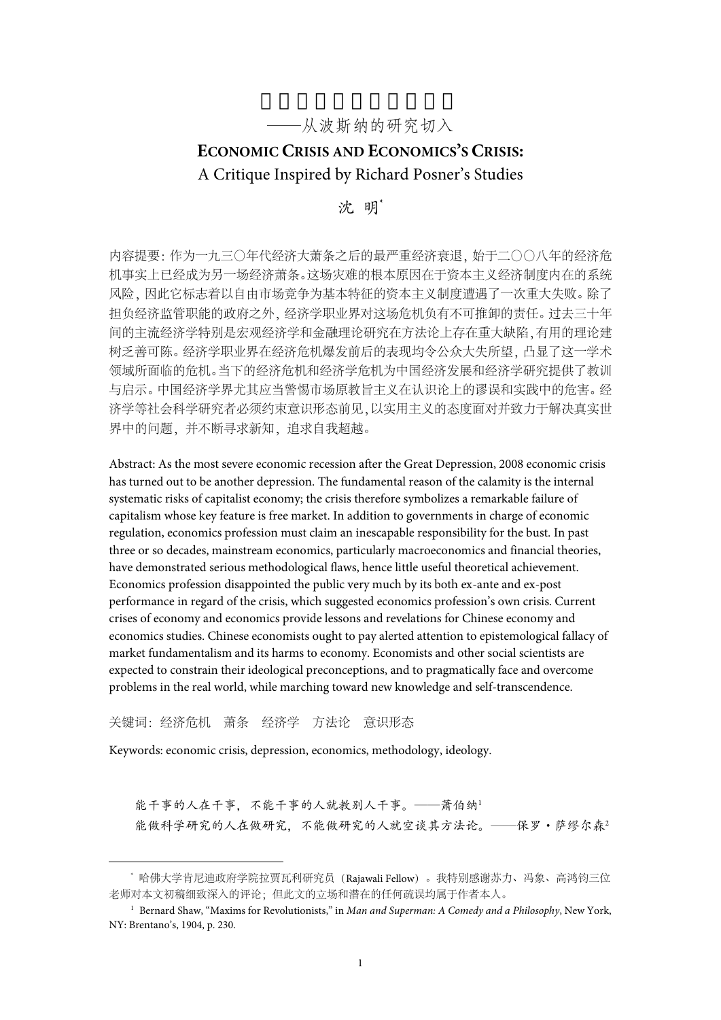# ——从波斯纳的研究切入

# **ECONOMIC CRISIS AND ECONOMICS'S CRISIS:** A Critique Inspired by Richard Posner's Studies

沈 明\*

内容提要:作为一九三〇年代经济大萧条之后的最严重经济衰退,始于二〇〇八年的经济危 机事实上已经成为另一场经济萧条。这场灾难的根本原因在于资本主义经济制度内在的系统 风险,因此它标志着以自由市场竞争为基本特征的资本主义制度遭遇了一次重大失败。除了 担负经济监管职能的政府之外,经济学职业界对这场危机负有不可推卸的责任。过去三十年 间的主流经济学特别是宏观经济学和金融理论研究在方法论上存在重大缺陷,有用的理论建 树乏善可陈。经济学职业界在经济危机爆发前后的表现均令公众大失所望,凸显了这一学术 领域所面临的危机。当下的经济危机和经济学危机为中国经济发展和经济学研究提供了教训 与启示。中国经济学界尤其应当警惕市场原教旨主义在认识论上的谬误和实践中的危害。经 济学等社会科学研究者必须约束意识形态前见,以实用主义的态度面对并致力于解决真实世 界中的问题,并不断寻求新知,追求自我超越。

Abstract: As the most severe economic recession after the Great Depression, 2008 economic crisis has turned out to be another depression. The fundamental reason of the calamity is the internal systematic risks of capitalist economy; the crisis therefore symbolizes a remarkable failure of capitalism whose key feature is free market. In addition to governments in charge of economic regulation, economics profession must claim an inescapable responsibility for the bust. In past three or so decades, mainstream economics, particularly macroeconomics and financial theories, have demonstrated serious methodological flaws, hence little useful theoretical achievement. Economics profession disappointed the public very much by its both ex-ante and ex-post performance in regard of the crisis, which suggested economics profession's own crisis. Current crises of economy and economics provide lessons and revelations for Chinese economy and economics studies. Chinese economists ought to pay alerted attention to epistemological fallacy of market fundamentalism and its harms to economy. Economists and other social scientists are expected to constrain their ideological preconceptions, and to pragmatically face and overcome problems in the real world, while marching toward new knowledge and self-transcendence.

关键词:经济危机 萧条 经济学 方法论 意识形态

Keywords: economic crisis, depression, economics, methodology, ideology.

能干事的人在干事,不能干事的人就教别人干事。——萧伯纳<sup>1</sup> 能做科学研究的人在做研究,不能做研究的人就空谈其方法论。——保罗·萨缪尔森<sup>2</sup>

 <sup>\*</sup> 哈佛大学肯尼迪政府学院拉贾瓦利研究员(Rajawali Fellow)。我特别感谢苏力、冯象、高鸿钧三位 老师对本文初稿细致深入的评论;但此文的立场和潜在的任何疏误均属于作者本人。

<sup>1</sup> Bernard Shaw, "Maxims for Revolutionists," in *Man and Superman: A Comedy and a Philosophy*, New York, NY: Brentano's, 1904, p. 230.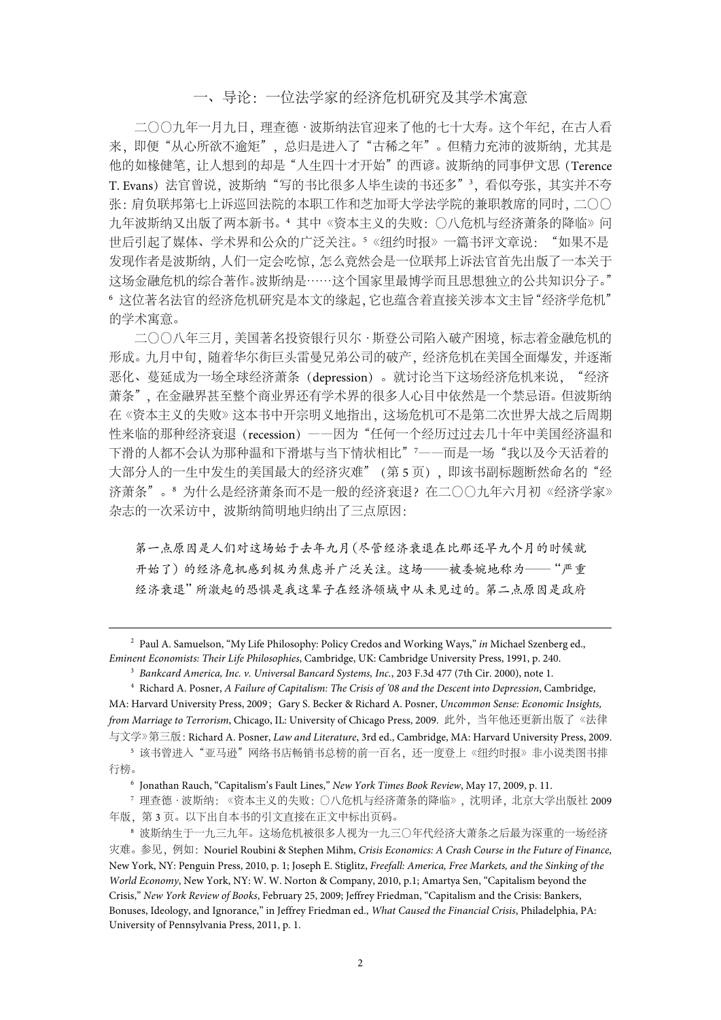#### 一、导论:一位法学家的经济危机研究及其学术寓意

二〇〇九年一月九日,理查德·波斯纳法官迎来了他的七十大寿。这个年纪,在古人看 来, 即便"从心所欲不逾矩", 总归是进入了"古稀之年"。但精力充沛的波斯纳, 尤其是 他的如椽健笔,让人想到的却是"人生四十才开始"的西谚。波斯纳的同事伊文思(Terence T. Evans)法官曾说,波斯纳"写的书比很多人毕生读的书还多"<sup>3</sup>,看似夸张,其实并不夸 张:肩负联邦第七上诉巡回法院的本职工作和芝加哥大学法学院的兼职教席的同时,二〇〇 九年波斯纳又出版了两本新书。<sup>4</sup> 其中《资本主义的失败:〇八危机与经济萧条的降临》问 世后引起了媒体、学术界和公众的广泛关注。<sup>5</sup>《纽约时报》一篇书评文章说:"如果不是 发现作者是波斯纳,人们一定会吃惊,怎么竟然会是一位联邦上诉法官首先出版了一本关于 这场金融危机的综合著作。波斯纳是……这个国家里最博学而且思想独立的公共知识分子。" <sup>6</sup> 这位著名法官的经济危机研究是本文的缘起,它也蕴含着直接关涉本文主旨"经济学危机" 的学术寓意。

二〇〇八年三月,美国著名投资银行贝尔·斯登公司陷入破产困境,标志着金融危机的 形成。九月中旬,随着华尔街巨头雷曼兄弟公司的破产,经济危机在美国全面爆发,并逐渐 恶化、蔓延成为一场全球经济萧条(depression)。就讨论当下这场经济危机来说, "经济 萧条",在金融界甚至整个商业界还有学术界的很多人心目中依然是一个禁忌语。但波斯纳 在《资本主义的失败》这本书中开宗明义地指出,这场危机可不是第二次世界大战之后周期 性来临的那种经济衰退(recession) ——因为"任何一个经历过过去几十年中美国经济温和 下滑的人都不会认为那种温和下滑堪与当下情状相比" '——而是一场"我以及今天活着的 大部分人的一生中发生的美国最大的经济灾难"(第 5 页), 即该书副标题断然命名的"经 济萧条"。<sup>8</sup> 为什么是经济萧条而不是一般的经济衰退?在二〇〇九年六月初《经济学家》 杂志的一次采访中,波斯纳简明地归纳出了三点原因:

第一点原因是人们对这场始于去年九月(尽管经济衰退在比那还早九个月的时候就 开始了)的经济危机感到极为焦虑并广泛关注。这场——被委婉地称为——"严重 经济衰退"所激起的恐惧是我这辈子在经济领域中从未见过的。第二点原因是政府

 2 Paul A. Samuelson, "My Life Philosophy: Policy Credos and Working Ways," *in* Michael Szenberg ed., *Eminent Economists: Their Life Philosophies*, Cambridge, UK: Cambridge University Press, 1991, p. 240.

<sup>3</sup> *Bankcard America, Inc. v. Universal Bancard Systems, Inc.*, 203 F.3d 477 (7th Cir. 2000), note 1.

5 该书曾讲入"亚马逊"网络书店畅销书总榜的前一百名, 还一度登上《纽约时报》非小说类图书排 行榜。

<sup>6</sup> Jonathan Rauch, "Capitalism's Fault Lines," *New York Times Book Review*, May 17, 2009, p. 11.

<sup>7</sup> 理查德·波斯纳:《资本主义的失败:〇八危机与经济萧条的降临》,沈明译,北京大学出版社 2009 年版,第 3 页。以下出自本书的引文直接在正文中标出页码。

<sup>4</sup> Richard A. Posner, *A Failure of Capitalism: The Crisis of '08 and the Descent into Depression*, Cambridge, MA: Harvard University Press, 2009; Gary S. Becker & Richard A. Posner, *Uncommon Sense: Economic Insights, from Marriage to Terrorism*, Chicago, IL: University of Chicago Press, 2009. 此外,当年他还更新出版了《法律 与文学》第三版:Richard A. Posner, *Law and Literature*, 3rd ed., Cambridge, MA: Harvard University Press, 2009.

<sup>8</sup> 波斯纳生于一九三九年。这场危机被很多人视为一九三〇年代经济大萧条之后最为深重的一场经济 灾难。参见,例如:Nouriel Roubini & Stephen Mihm, *Crisis Economics: A Crash Course in the Future of Finance*, New York, NY: Penguin Press, 2010, p. 1; Joseph E. Stiglitz, *Freefall: America, Free Markets, and the Sinking of the World Economy*, New York, NY: W. W. Norton & Company, 2010, p.1; Amartya Sen, "Capitalism beyond the Crisis," *New York Review of Books*, February 25, 2009; Jeffrey Friedman, "Capitalism and the Crisis: Bankers, Bonuses, Ideology, and Ignorance," in Jeffrey Friedman ed., *What Caused the Financial Crisis*, Philadelphia, PA: University of Pennsylvania Press, 2011, p. 1.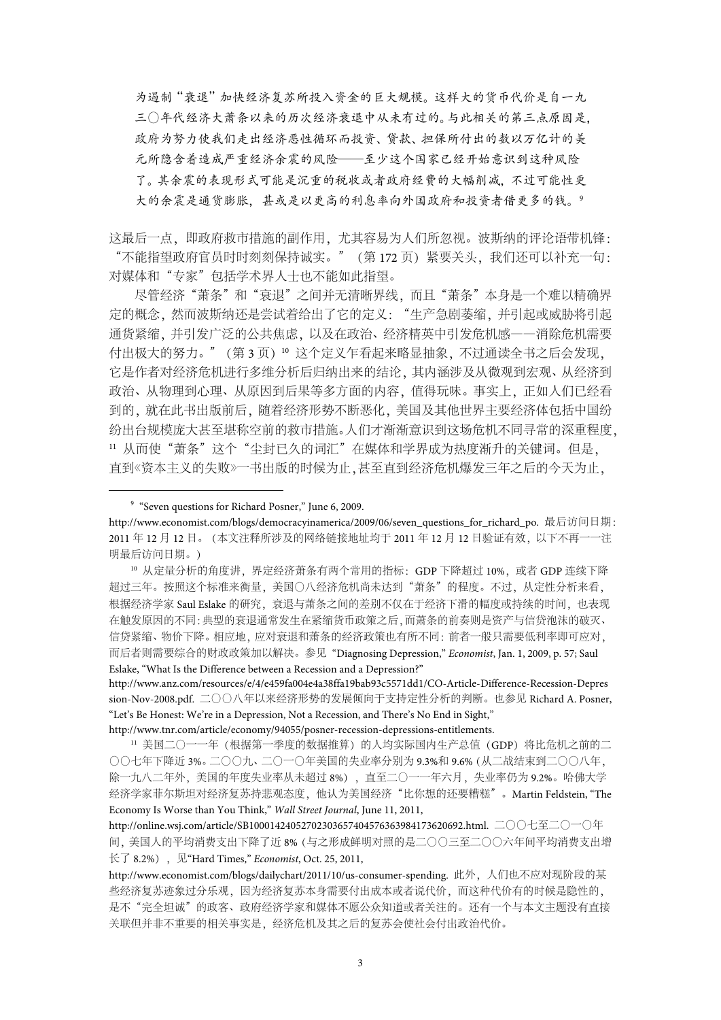为遏制"衰退"加快经济复苏所投入资金的巨大规模。这样大的货币代价是自一九 三〇年代经济大萧条以来的历次经济衰退中从未有过的。与此相关的第三点原因是, 政府为努力使我们走出经济恶性循环而投资、贷款、担保所付出的数以万亿计的美 元所隐含着造成严重经济余震的风险——至少这个国家已经开始意识到这种风险 了。其余震的表现形式可能是沉重的税收或者政府经费的大幅削减,不过可能性更 大的余震是通货膨胀,甚或是以更高的利息率向外国政府和投资者借更多的钱。<sup>9</sup>

这最后一点,即政府救市措施的副作用,尤其容易为人们所忽视。波斯纳的评论语带机锋: "不能指望政府官员时时刻刻保持诚实。"(第 172 页)紧要关头,我们还可以补充一句: 对媒体和"专家"包括学术界人士也不能如此指望。

尽管经济"萧条"和"衰退"之间并无清晰界线,而且"萧条"本身是一个难以精确界 定的概念,然而波斯纳还是尝试着给出了它的定义:"生产急剧萎缩,并引起或威胁将引起 通货紧缩,并引发广泛的公共焦虑,以及在政治、经济精英中引发危机感——消除危机需要 付出极大的努力。"(第 3 页)<sup>10</sup> 这个定义乍看起来略显抽象,不过通读全书之后会发现, 它是作者对经济危机进行多维分析后归纳出来的结论,其内涵涉及从微观到宏观、从经济到 政治、从物理到心理、从原因到后果等多方面的内容,值得玩味。事实上,正如人们已经看 到的,就在此书出版前后,随着经济形势不断恶化,美国及其他世界主要经济体包括中国纷 纷出台规模庞大甚至堪称空前的救市措施。人们才渐渐意识到这场危机不同寻常的深重程度, 11 从而使"萧条"这个"尘封已久的词汇"在媒体和学界成为热度渐升的关键词。但是, 直到《资本主义的失败》一书出版的时候为止,甚至直到经济危机爆发三年之后的今天为止,

 <sup>9</sup> "Seven questions for Richard Posner," June 6, 2009.

http://www.economist.com/blogs/democracyinamerica/2009/06/seven\_questions\_for\_richard\_po. 最后访问日期: 2011 年 12 月 12 日。(本文注释所涉及的网络链接地址均于 2011 年 12 月 12 日验证有效,以下不再一一注 明最后访问日期。)

<sup>10</sup> 从定量分析的角度讲,界定经济萧条有两个常用的指标: GDP 下降超过 10%, 或者 GDP 连续下降 超过三年。按照这个标准来衡量,美国〇八经济危机尚未达到"萧条"的程度。不过,从定性分析来看, 根据经济学家 Saul Eslake 的研究, 衰退与萧条之间的差别不仅在于经济下滑的幅度或持续的时间, 也表现 在触发原因的不同:典型的衰退通常发生在紧缩货币政策之后,而萧条的前奏则是资产与信贷泡沫的破灭、 信贷紧缩、物价下降。相应地,应对衰退和萧条的经济政策也有所不同:前者一般只需要低利率即可应对, 而后者则需要综合的财政政策加以解决。参见 "Diagnosing Depression," *Economist*, Jan. 1, 2009, p. 57; Saul Eslake, "What Is the Difference between a Recession and a Depression?"

http://www.anz.com/resources/e/4/e459fa004e4a38ffa19bab93c5571dd1/CO-Article-Difference-Recession-Depres sion-Nov-2008.pdf. 二〇〇八年以来经济形势的发展倾向于支持定性分析的判断。也参见 Richard A. Posner, "Let's Be Honest: We're in a Depression, Not a Recession, and There's No End in Sight,"

http://www.tnr.com/article/economy/94055/posner-recession-depressions-entitlements.

<sup>11</sup> 美国二〇一一年 (根据第一季度的数据推算) 的人均实际国内生产总值 (GDP) 将比危机之前的二 〇〇七年下降近 3%。二〇〇九、二〇一〇年美国的失业率分别为 9.3%和 9.6%(从二战结束到二〇〇八年, 除一九八二年外,美国的年度失业率从未超过 8%), 直至二〇一一年六月, 失业率仍为 9.2%。哈佛大学 经济学家菲尔斯坦对经济复苏持悲观态度,他认为美国经济"比你想的还要糟糕"。Martin Feldstein, "The Economy Is Worse than You Think," *Wall Street Journal*, June 11, 2011,

http://online.wsj.com/article/SB10001424052702303657404576363984173620692.html. 二〇〇七至二〇一〇年 间,美国人的平均消费支出下降了近 8%(与之形成鲜明对照的是二〇〇三至二〇〇六年间平均消费支出增 长了 8.2%), 见"Hard Times," *Economist*, Oct. 25, 2011,

http://www.economist.com/blogs/dailychart/2011/10/us-consumer-spending. 此外,人们也不应对现阶段的某 些经济复苏迹象过分乐观,因为经济复苏本身需要付出成本或者说代价,而这种代价有的时候是隐性的, 是不"完全坦诚"的政客、政府经济学家和媒体不愿公众知道或者关注的。还有一个与本文主题没有直接 关联但并非不重要的相关事实是,经济危机及其之后的复苏会使社会付出政治代价。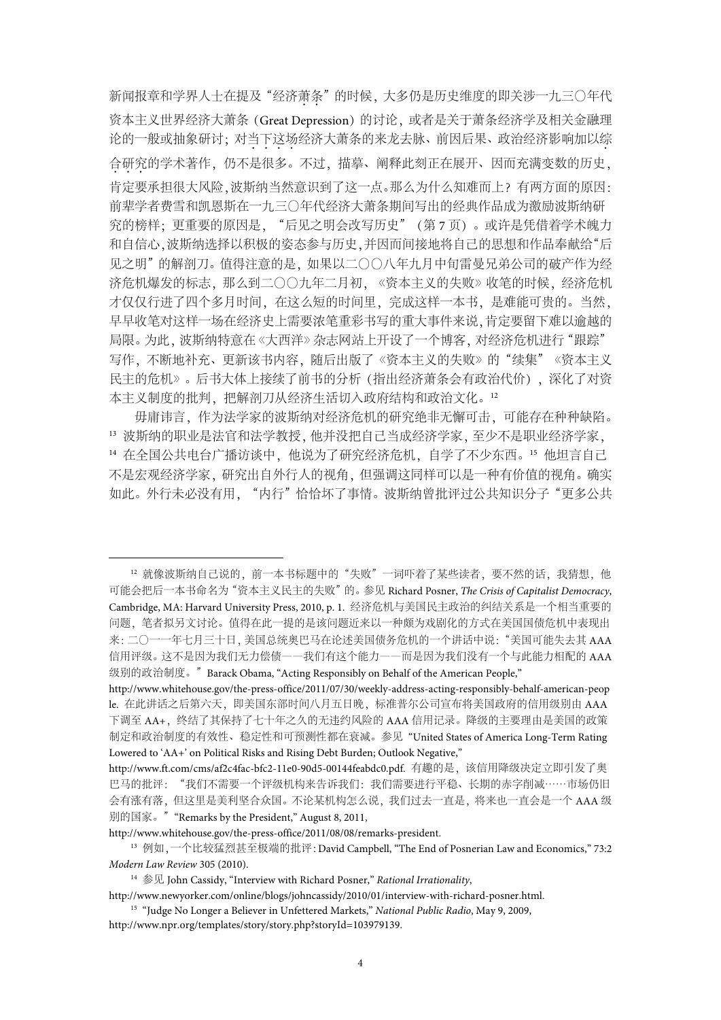新闻报章和学界人士在提及"经济萧条"的时候,大多仍是历史维度的即关涉一九三〇年代 资本主义世界经济大萧条(Great Depression)的讨论,或者是关于萧条经济学及相关金融理 论的一般或抽象研讨;对当下这场经济大萧条的来龙去脉、前因后果、政治经济影响加以综 合研究的学术著作,仍不是很多。不过,描摹、阐释此刻正在展开、因而充满变数的历史, 肯定要承担很大风险,波斯纳当然意识到了这一点。那么为什么知难而上?有两方面的原因: 前辈学者费雪和凯恩斯在一九三〇年代经济大萧条期间写出的经典作品成为激励波斯纳研 究的榜样;更重要的原因是,"后见之明会改写历史"(第 7 页)。或许是凭借着学术魄力 和自信心,波斯纳选择以积极的姿态参与历史,并因而间接地将自己的思想和作品奉献给"后 见之明"的解剖刀。值得注意的是,如果以二〇〇八年九月中旬雷曼兄弟公司的破产作为经 济危机爆发的标志,那么到二〇〇九年二月初,《资本主义的失败》收笔的时候,经济危机 才仅仅行进了四个多月时间,在这么短的时间里,完成这样一本书,是难能可贵的。当然, 早早收笔对这样一场在经济史上需要浓笔重彩书写的重大事件来说,肯定要留下难以逾越的 局限。为此, 波斯纳特意在《大西洋》杂志网站上开设了一个博客, 对经济危机进行"跟踪" 写作,不断地补充、更新该书内容, 随后出版了《资本主义的失败》的"续集"《资本主义 民主的危机》。后书大体上接续了前书的分析(指出经济萧条会有政治代价),深化了对资 本主义制度的批判,把解剖刀从经济生活切入政府结构和政治文化。<sup>12</sup>

毋庸讳言,作为法学家的波斯纳对经济危机的研究绝非无懈可击,可能存在种种缺陷。 <sup>13</sup> 波斯纳的职业是法官和法学教授,他并没把自己当成经济学家,至少不是职业经济学家, 14 在全国公共电台广播访谈中,他说为了研究经济危机,自学了不少东西。15 他坦言自己 不是宏观经济学家,研究出自外行人的视角,但强调这同样可以是一种有价值的视角。确实 如此。外行未必没有用, "内行"恰恰坏了事情。波斯纳曾批评过公共知识分子"更多公共

12 就像波斯纳自己说的, 前一本书标题中的"失败"一词吓着了某些读者, 要不然的话, 我猜想, 他 可能会把后一本书命名为"资本主义民主的失败"的。参见 Richard Posner, *The Crisis of Capitalist Democracy*, Cambridge, MA: Harvard University Press, 2010, p. 1. 经济危机与美国民主政治的纠结关系是一个相当重要的 问题,笔者拟另文讨论。值得在此一提的是该问题近来以一种颇为戏剧化的方式在美国国债危机中表现出 来:二〇一一年七月三十日, 美国总统奥巴马在论述美国债务危机的一个讲话中说:"美国可能失去其 AAA 信用评级。这不是因为我们无力偿债——我们有这个能力——而是因为我们没有一个与此能力相配的 AAA 级别的政治制度。"Barack Obama, "Acting Responsibly on Behalf of the American People,"

http://www.whitehouse.gov/the-press-office/2011/08/08/remarks-president.

http://www.whitehouse.gov/the-press-office/2011/07/30/weekly-address-acting-responsibly-behalf-american-peop le. 在此讲话之后第六天, 即美国东部时间八月五日晚, 标准普尔公司宣布将美国政府的信用级别由 AAA 下调至 AA+,终结了其保持了七十年之久的无违约风险的 AAA 信用记录。降级的主要理由是美国的政策 制定和政治制度的有效性、稳定性和可预测性都在衰减。参见 "United States of America Long-Term Rating Lowered to 'AA+' on Political Risks and Rising Debt Burden; Outlook Negative,"

http://www.ft.com/cms/af2c4fac-bfc2-11e0-90d5-00144feabdc0.pdf. 有趣的是,该信用降级决定立即引发了奥 巴马的批评:"我们不需要一个评级机构来告诉我们:我们需要进行平稳、长期的赤字削减……市场仍旧 会有涨有落,但这里是美利坚合众国。不论某机构怎么说,我们过去一直是,将来也一直会是一个 AAA 级 别的国家。""Remarks by the President," August 8, 2011,

<sup>13</sup> 例如,一个比较猛烈甚至极端的批评:David Campbell, "The End of Posnerian Law and Economics," 73:2 *Modern Law Review* 305 (2010).

<sup>14</sup> 参见 John Cassidy, "Interview with Richard Posner," *Rational Irrationality*,

http://www.newyorker.com/online/blogs/johncassidy/2010/01/interview-with-richard-posner.html. <sup>15</sup> "Judge No Longer a Believer in Unfettered Markets," *National Public Radio*, May 9, 2009,

http://www.npr.org/templates/story/story.php?storyId=103979139.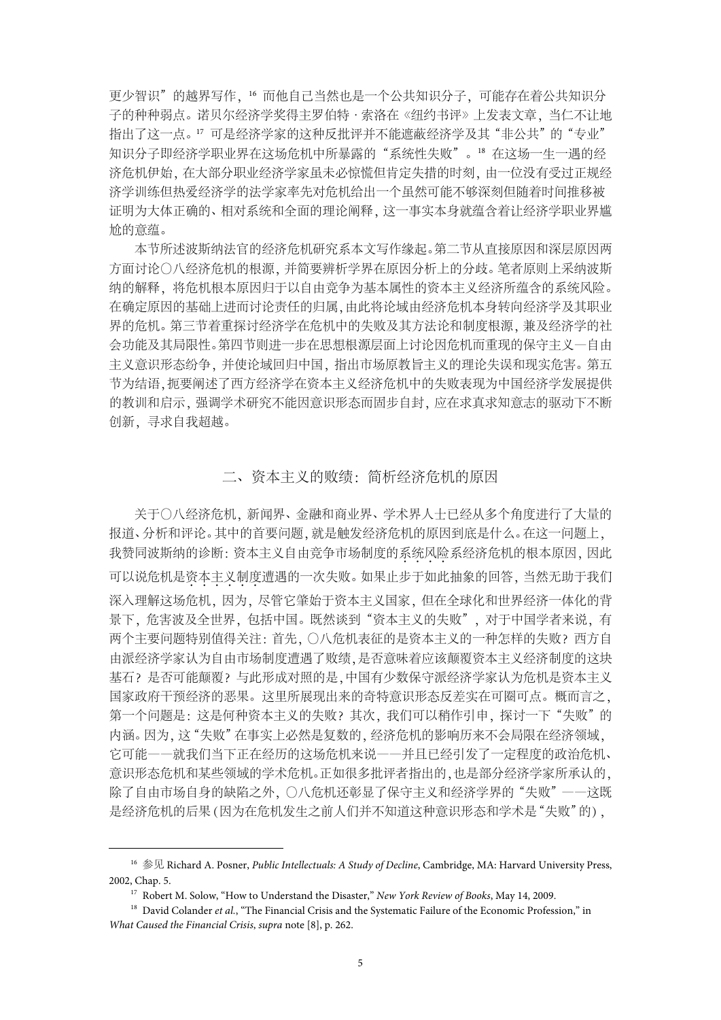更少智识"的越界写作,<sup>16</sup> 而他自己当然也是一个公共知识分子,可能存在着公共知识分 子的种种弱点。诺贝尔经济学奖得主罗伯特·索洛在《纽约书评》上发表文章,当仁不让地 指出了这一点。17 可是经济学家的这种反批评并不能遮蔽经济学及其"非公共"的"专业" 知识分子即经济学职业界在这场危机中所暴露的"系统性失败"。18 在这场一生一遇的经 济危机伊始,在大部分职业经济学家虽未必惊慌但肯定失措的时刻,由一位没有受过正规经 济学训练但热爱经济学的法学家率先对危机给出一个虽然可能不够深刻但随着时间推移被 证明为大体正确的、相对系统和全面的理论阐释,这一事实本身就蕴含着让经济学职业界尴 尬的意蕴。

本节所述波斯纳法官的经济危机研究系本文写作缘起。第二节从直接原因和深层原因两 方面讨论〇八经济危机的根源,并简要辨析学界在原因分析上的分歧。笔者原则上采纳波斯 纳的解释,将危机根本原因归于以自由竞争为基本属性的资本主义经济所蕴含的系统风险。 在确定原因的基础上进而讨论责任的归属,由此将论域由经济危机本身转向经济学及其职业 界的危机。第三节着重探讨经济学在危机中的失败及其方法论和制度根源,兼及经济学的社 会功能及其局限性。第四节则进一步在思想根源层面上讨论因危机而重现的保守主义—自由 主义意识形态纷争,并使论域回归中国,指出市场原教旨主义的理论失误和现实危害。第五 节为结语,扼要阐述了西方经济学在资本主义经济危机中的失败表现为中国经济学发展提供 的教训和启示,强调学术研究不能因意识形态而固步自封,应在求真求知意志的驱动下不断 创新,寻求自我超越。

## 二、资本主义的败绩:简析经济危机的原因

关于〇八经济危机,新闻界、金融和商业界、学术界人士已经从多个角度进行了大量的 报道、分析和评论。其中的首要问题,就是触发经济危机的原因到底是什么。在这一问题上, 我赞同波斯纳的诊断: 资本主义自由竞争市场制度的系统风险系经济危机的根本原因,因此 可以说危机是资本主义制度遭遇的一次失败。如果止步于如此抽象的回答,当然无助于我们 深入理解这场危机,因为,尽管它肇始于资本主义国家,但在全球化和世界经济一体化的背 景下,危害波及全世界,包括中国。既然谈到"资本主义的失败",对于中国学者来说,有 两个主要问题特别值得关注:首先,〇八危机表征的是资本主义的一种怎样的失败?西方自 由派经济学家认为自由市场制度遭遇了败绩,是否意味着应该颠覆资本主义经济制度的这块 基石?是否可能颠覆?与此形成对照的是,中国有少数保守派经济学家认为危机是资本主义 国家政府干预经济的恶果。这里所展现出来的奇特意识形态反差实在可圈可点。概而言之, 第一个问题是: 这是何种资本主义的失败? 其次, 我们可以稍作引申, 探讨一下"失败"的 内涵。因为,这"失败"在事实上必然是复数的,经济危机的影响历来不会局限在经济领域, 它可能——就我们当下正在经历的这场危机来说——并且已经引发了一定程度的政治危机、 意识形态危机和某些领域的学术危机。正如很多批评者指出的,也是部分经济学家所承认的, 除了自由市场自身的缺陷之外,〇八危机还彰显了保守主义和经济学界的"失败"——这既 是经济危机的后果(因为在危机发生之前人们并不知道这种意识形态和学术是"失败"的),

 <sup>16</sup> 参见 Richard A. Posner, *Public Intellectuals: A Study of Decline*, Cambridge, MA: Harvard University Press, 2002, Chap. 5.

<sup>17</sup> Robert M. Solow, "How to Understand the Disaster," *New York Review of Books*, May 14, 2009.

<sup>&</sup>lt;sup>18</sup> David Colander *et al.*, "The Financial Crisis and the Systematic Failure of the Economic Profession," in *What Caused the Financial Crisis*, *supra* note [8], p. 262.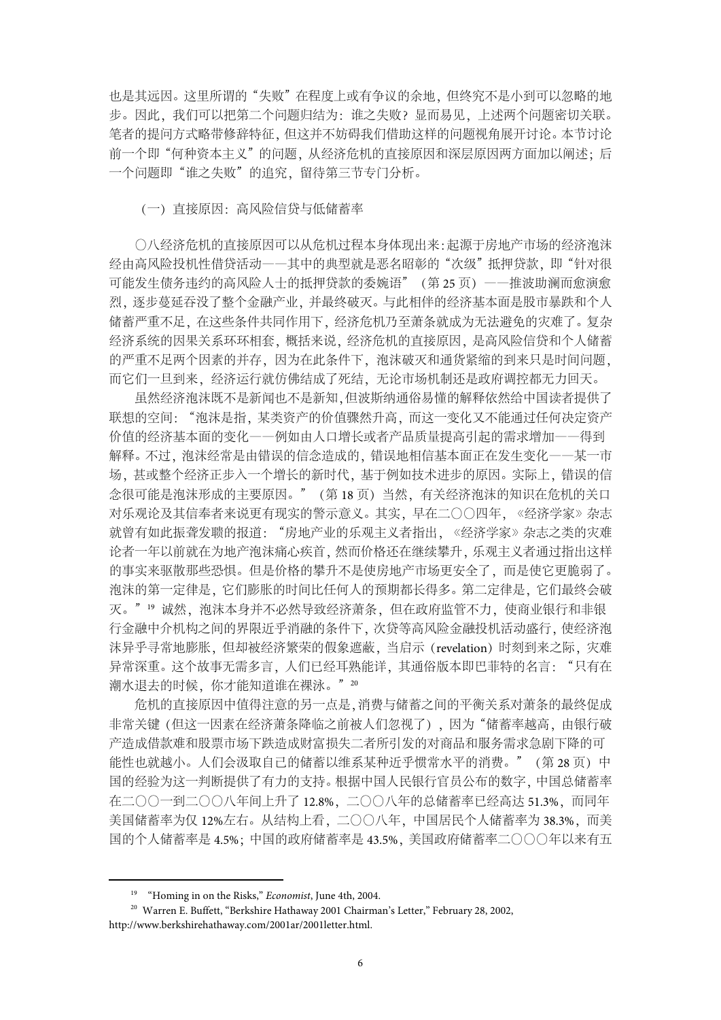也是其远因。这里所谓的"失败"在程度上或有争议的余地,但终究不是小到可以忽略的地 步。因此,我们可以把第二个问题归结为:谁之失败?显而易见,上述两个问题密切关联。 笔者的提问方式略带修辞特征,但这并不妨碍我们借助这样的问题视角展开讨论。本节讨论 前一个即"何种资本主义"的问题,从经济危机的直接原因和深层原因两方面加以阐述;后 一个问题即"谁之失败"的追究,留待第三节专门分析。

(一)直接原因:高风险信贷与低储蓄率

〇八经济危机的直接原因可以从危机过程本身体现出来:起源于房地产市场的经济泡沫 经由高风险投机性借贷活动一一其中的典型就是恶名昭彰的"次级"抵押贷款,即"针对很 可能发生债务违约的高风险人士的抵押贷款的委婉语"(第 25 页)——推波助澜而愈演愈 烈,逐步蔓延吞没了整个金融产业,并最终破灭。与此相伴的经济基本面是股市暴跌和个人 储蓄严重不足,在这些条件共同作用下,经济危机乃至萧条就成为无法避免的灾难了。复杂 经济系统的因果关系环环相套,概括来说,经济危机的直接原因,是高风险信贷和个人储蓄 的严重不足两个因素的并存,因为在此条件下,泡沫破灭和通货紧缩的到来只是时间问题, 而它们一旦到来,经济运行就仿佛结成了死结,无论市场机制还是政府调控都无力回天。

虽然经济泡沫既不是新闻也不是新知,但波斯纳通俗易懂的解释依然给中国读者提供了 联想的空间: "泡沫是指,某类资产的价值骤然升高, 而这一变化又不能通过任何决定资产 价值的经济基本面的变化——例如由人口增长或者产品质量提高引起的需求增加——得到 解释。不过,泡沫经常是由错误的信念造成的,错误地相信基本面正在发生变化——某一市 场, 其或整个经济正步入一个增长的新时代, 基于例如技术进步的原因。实际上, 错误的信 念很可能是泡沫形成的主要原因。"(第 18 页)当然,有关经济泡沫的知识在危机的关口 对乐观论及其信奉者来说更有现实的警示意义。其实,早在二〇〇四年,《经济学家》杂志 就曾有如此振聋发聩的报道: "房地产业的乐观主义者指出, 《经济学家》杂志之类的灾难 论者一年以前就在为地产泡沫痛心疾首,然而价格还在继续攀升,乐观主义者通过指出这样 的事实来驱散那些恐惧。但是价格的攀升不是使房地产市场更安全了,而是使它更脆弱了。 泡沫的第一定律是,它们膨胀的时间比任何人的预期都长得多。第二定律是,它们最终会破 灭。"<sup>19</sup> 诚然, 泡沫本身并不必然导致经济萧条, 但在政府监管不力, 使商业银行和非银 行金融中介机构之间的界限近乎消融的条件下,次贷等高风险金融投机活动盛行,使经济泡 沫异乎寻常地膨胀,但却被经济繁荣的假象遮蔽,当启示(revelation)时刻到来之际,灾难 异常深重。这个故事无需多言,人们已经耳熟能详,其通俗版本即巴菲特的名言:"只有在 潮水退去的时候,你才能知道谁在裸泳。"20

危机的直接原因中值得注意的另一点是,消费与储蓄之间的平衡关系对萧条的最终促成 非常关键(但这一因素在经济萧条降临之前被人们忽视了),因为"储蓄率越高,由银行破 产造成借款难和股票市场下跌造成财富损失二者所引发的对商品和服务需求急剧下降的可 能性也就越小。人们会汲取自己的储蓄以维系某种近乎惯常水平的消费。"(第 28 页)中 国的经验为这一判断提供了有力的支持。根据中国人民银行官员公布的数字,中国总储蓄率 在二〇〇一到二〇〇八年间上升了 12.8%, 二〇〇八年的总储蓄率已经高达 51.3%, 而同年 美国储蓄率为仅 12%左右。从结构上看,二〇〇八年,中国居民个人储蓄率为 38.3%,而美 国的个人储蓄率是 4.5%;中国的政府储蓄率是 43.5%,美国政府储蓄率二〇〇〇年以来有五

 <sup>19 &</sup>quot;Homing in on the Risks," *Economist*, June 4th, 2004.

<sup>20</sup> Warren E. Buffett, "Berkshire Hathaway 2001 Chairman's Letter," February 28, 2002, http://www.berkshirehathaway.com/2001ar/2001letter.html.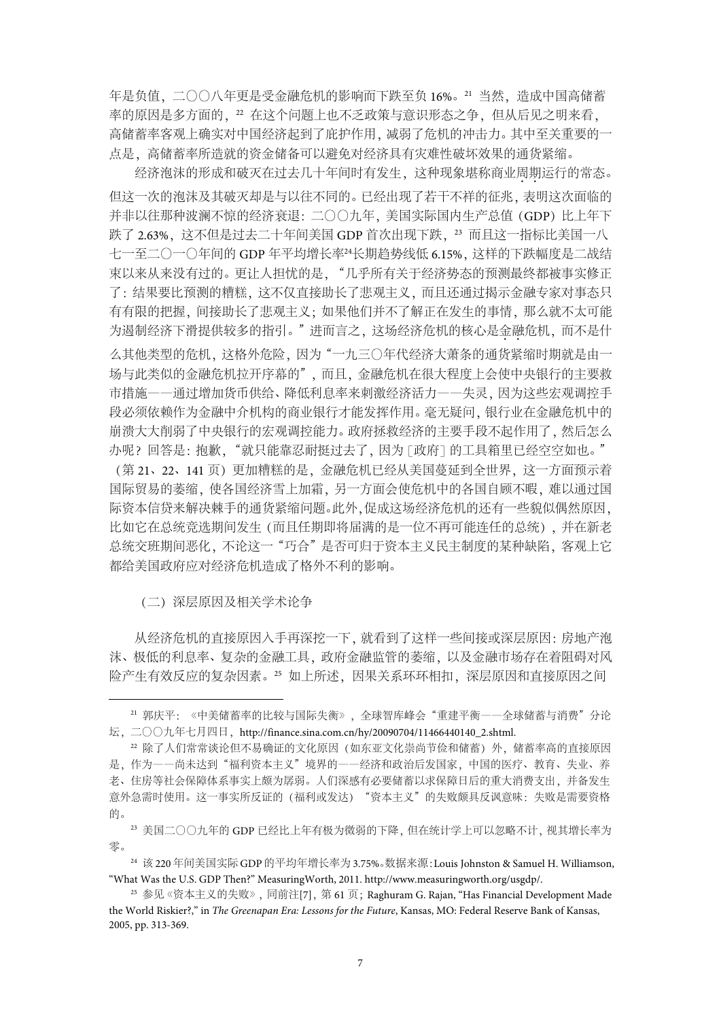年是负值,二〇〇八年更是受金融危机的影响而下跌至负 16%。<sup>21</sup> 当然,造成中国高储蓄 率的原因是多方面的, 22 在这个问题上也不乏政策与意识形态之争, 但从后见之明来看, 高储蓄率客观上确实对中国经济起到了庇护作用,减弱了危机的冲击力。其中至关重要的一 点是,高储蓄率所造就的资金储备可以避免对经济具有灾难性破坏效果的通货紧缩。

经济泡沫的形成和破灭在过去几十年间时有发生,这种现象堪称商业周期运行的常态。 但这一次的泡沫及其破灭却是与以往不同的。已经出现了若干不祥的征兆,表明这次面临的 并非以往那种波澜不惊的经济衰退: 二〇〇九年, 美国实际国内生产总值(GDP) 比上年下 跌了 2.63%, 这不但是过去二十年间美国 GDP 首次出现下跌, <sup>23</sup> 而且这一指标比美国一八 七一至二〇一〇年间的 GDP 年平均增长率<sup>24</sup>长期趋势线低 6.15%,这样的下跌幅度是二战结 束以来从来没有过的。更让人担忧的是, "几乎所有关于经济势态的预测最终都被事实修正 了:结果要比预测的糟糕,这不仅直接助长了悲观主义,而且还通过揭示金融专家对事态只 有有限的把握,间接助长了悲观主义;如果他们并不了解正在发生的事情,那么就不太可能 为遏制经济下滑提供较多的指引。"进而言之,这场经济危机的核心是金融危机,而不是什 么其他类型的危机,这格外危险,因为"一九三〇年代经济大萧条的通货紧缩时期就是由一 场与此类似的金融危机拉开序幕的",而且,金融危机在很大程度上会使中央银行的主要救 市措施——通过增加货币供给、降低利息率来刺激经济活力——失灵,因为这些宏观调控手 段必须依赖作为金融中介机构的商业银行才能发挥作用。毫无疑问,银行业在金融危机中的 崩溃大大削弱了中央银行的宏观调控能力。政府拯救经济的主要手段不起作用了,然后怎么 办呢?回答是:抱歉,"就只能靠忍耐挺过去了,因为「政府]的工具箱里已经空空如也。" (第 21、22、141 页)更加糟糕的是,金融危机已经从美国蔓延到全世界,这一方面预示着 国际贸易的萎缩,使各国经济雪上加霜,另一方面会使危机中的各国自顾不暇,难以通过国 际资本信贷来解决棘手的通货紧缩问题。此外,促成这场经济危机的还有一些貌似偶然原因, 比如它在总统竞选期间发生(而且任期即将届满的是一位不再可能连任的总统),并在新老 总统交班期间恶化,不论这一"巧合"是否可归于资本主义民主制度的某种缺陷,客观上它 都给美国政府应对经济危机造成了格外不利的影响。

(二)深层原因及相关学术论争

从经济危机的直接原因入手再深挖一下,就看到了这样一些间接或深层原因:房地产泡 沫、极低的利息率、复杂的金融工具,政府金融监管的萎缩,以及金融市场存在着阻碍对风 险产生有效反应的复杂因素。25 如上所述,因果关系环环相扣,深层原因和直接原因之间

<sup>23</sup> 美国二〇〇九年的 GDP 已经比上年有极为微弱的下降,但在统计学上可以忽略不计,视其增长率为 零。

<sup>24</sup> 该 220 年间美国实际 GDP 的平均年增长率为 3.75%。数据来源:Louis Johnston & Samuel H. Williamson, "What Was the U.S. GDP Then?" MeasuringWorth, 2011. http://www.measuringworth.org/usgdp/.

<sup>&</sup>lt;sup>21</sup> 郭庆平: 《中美储蓄率的比较与国际失衡》,全球智库峰会"重建平衡——全球储蓄与消费"分论 坛,二〇〇九年七月四日,http://finance.sina.com.cn/hy/20090704/11466440140\_2.shtml.

<sup>22</sup> 除了人们常常谈论但不易确证的文化原因(如东亚文化崇尚节俭和储蓄)外,储蓄率高的直接原因 是,作为一一尚未达到"福利资本主义"境界的一一经济和政治后发国家,中国的医疗、教育、失业、养 老、住房等社会保障体系事实上颇为孱弱。人们深感有必要储蓄以求保障日后的重大消费支出,并备发生 意外急需时使用。这一事实所反证的(福利或发达) "资本主义"的失败颇具反讽意味:失败是需要资格 的。

<sup>&</sup>lt;sup>25</sup> 参见《资本主义的失败》,同前注[7], 第 61 页;Raghuram G. Rajan, "Has Financial Development Made the World Riskier?," in *The Greenapan Era: Lessons for the Future*, Kansas, MO: Federal Reserve Bank of Kansas, 2005, pp. 313-369.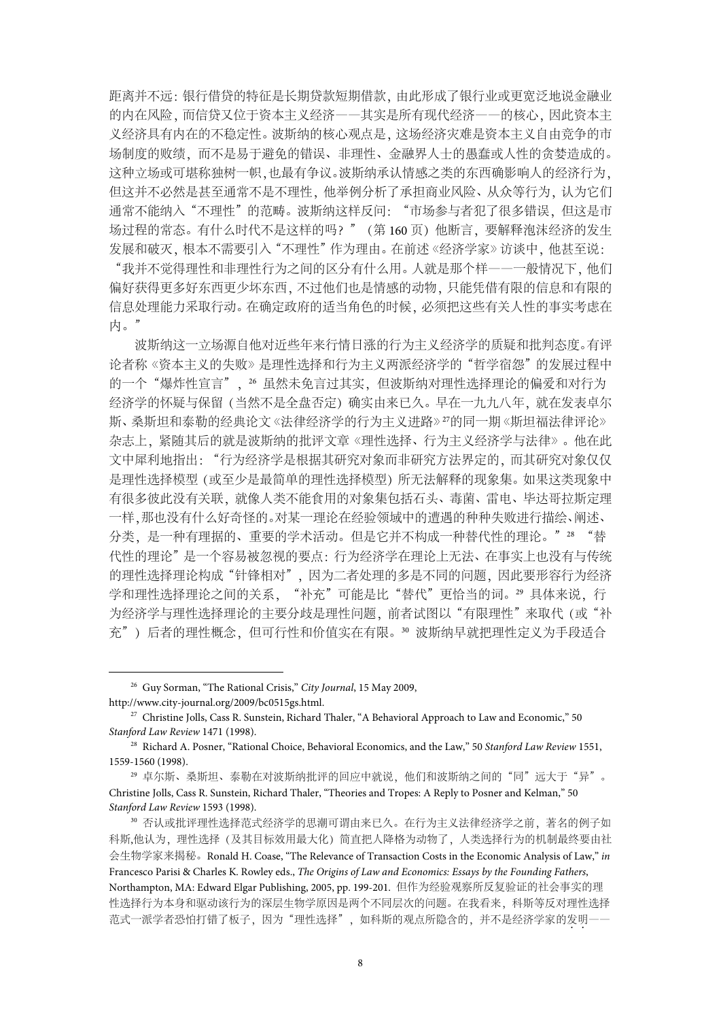距离并不远:银行借贷的特征是长期贷款短期借款,由此形成了银行业或更宽泛地说金融业 的内在风险,而信贷又位于资本主义经济——其实是所有现代经济——的核心,因此资本主 义经济具有内在的不稳定性。波斯纳的核心观点是,这场经济灾难是资本主义自由竞争的市 场制度的败绩,而不是易于避免的错误、非理性、金融界人士的愚蠢或人性的贪婪造成的。 这种立场或可堪称独树一帜,也最有争议。波斯纳承认情感之类的东西确影响人的经济行为, 但这并不必然是甚至通常不是不理性,他举例分析了承担商业风险、从众等行为,认为它们 通常不能纳入"不理性"的范畴。波斯纳这样反问:"市场参与者犯了很多错误,但这是市 场过程的常态。有什么时代不是这样的吗?"(第 160 页)他断言,要解释泡沫经济的发生 发展和破灭,根本不需要引入"不理性"作为理由。在前述《经济学家》访谈中,他甚至说:

"我并不觉得理性和非理性行为之间的区分有什么用。人就是那个样——一般情况下,他们 偏好获得更多好东西更少坏东西,不过他们也是情感的动物,只能凭借有限的信息和有限的 信息处理能力采取行动。在确定政府的适当角色的时候,必须把这些有关人性的事实考虑在 内。"

波斯纳这一立场源自他对近些年来行情日涨的行为主义经济学的质疑和批判态度。有评 论者称《资本主义的失败》是理性选择和行为主义两派经济学的"哲学宿怨"的发展过程中 的一个"爆炸性宣言", 26 虽然未免言过其实, 但波斯纳对理性选择理论的偏爱和对行为 经济学的怀疑与保留(当然不是全盘否定)确实由来已久。早在一九九八年,就在发表卓尔 斯、桑斯坦和泰勒的经典论文《法律经济学的行为主义进路》<sup>27</sup>的同一期《斯坦福法律评论》 杂志上,紧随其后的就是波斯纳的批评文章《理性选择、行为主义经济学与法律》。他在此 文中犀利地指出:"行为经济学是根据其研究对象而非研究方法界定的,而其研究对象仅仅 是理性选择模型(或至少是最简单的理性选择模型)所无法解释的现象集。如果这类现象中 有很多彼此没有关联,就像人类不能食用的对象集包括石头、毒菌、雷电、毕达哥拉斯定理 一样,那也没有什么好奇怪的。对某一理论在经验领域中的遭遇的种种失败进行描绘、阐述、 分类,是一种有理据的、重要的学术活动。但是它并不构成一种替代性的理论。"28 "替 代性的理论"是一个容易被忽视的要点:行为经济学在理论上无法、在事实上也没有与传统 的理性选择理论构成"针锋相对",因为二者处理的多是不同的问题,因此要形容行为经济 学和理性选择理论之间的关系, "补充"可能是比"替代"更恰当的词。29 具体来说, 行 为经济学与理性选择理论的主要分歧是理性问题, 前者试图以"有限理性"来取代(或"补 充")后者的理性概念,但可行性和价值实在有限。<sup>30</sup> 波斯纳早就把理性定义为手段适合

 <sup>26</sup> Guy Sorman, "The Rational Crisis," *City Journal*, 15 May 2009, http://www.city-journal.org/2009/bc0515gs.html.

<sup>&</sup>lt;sup>27</sup> Christine Jolls, Cass R. Sunstein, Richard Thaler, "A Behavioral Approach to Law and Economic," 50 *Stanford Law Review* 1471 (1998).

<sup>28</sup> Richard A. Posner, "Rational Choice, Behavioral Economics, and the Law," 50 *Stanford Law Review* 1551, 1559-1560 (1998).

<sup>29</sup> 卓尔斯、桑斯坦、泰勒在对波斯纳批评的回应中就说,他们和波斯纳之间的"同"远大于"异"。 Christine Jolls, Cass R. Sunstein, Richard Thaler, "Theories and Tropes: A Reply to Posner and Kelman," 50 *Stanford Law Review* 1593 (1998).

<sup>30</sup> 否认或批评理性选择范式经济学的思潮可谓由来已久。在行为主义法律经济学之前,著名的例子如 科斯,他认为,理性选择(及其目标效用最大化)简直把人降格为动物了,人类选择行为的机制最终要由社 会生物学家来揭秘。Ronald H. Coase, "The Relevance of Transaction Costs in the Economic Analysis of Law," *in* Francesco Parisi & Charles K. Rowley eds., *The Origins of Law and Economics: Essays by the Founding Fathers*, Northampton, MA: Edward Elgar Publishing, 2005, pp. 199-201. 但作为经验观察所反复验证的社会事实的理 性选择行为本身和驱动该行为的深层生物学原因是两个不同层次的问题。在我看来,科斯等反对理性选择 范式一派学者恐怕打错了板子,因为"理性选择",如科斯的观点所隐含的,并不是经济学家的发明一一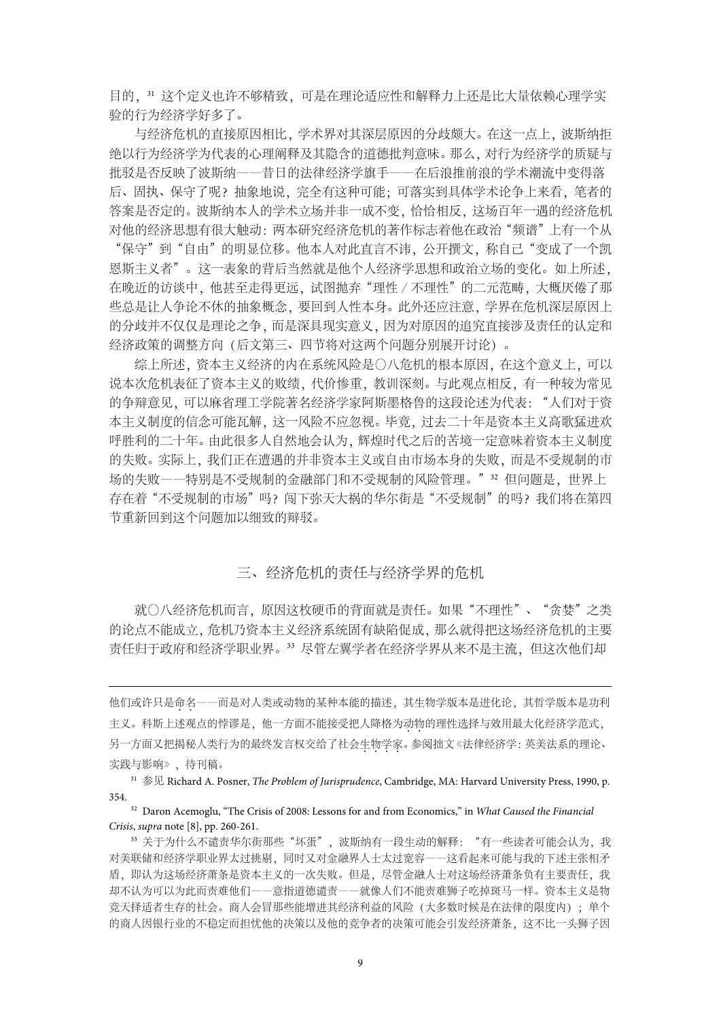目的, 31 这个定义也许不够精致, 可是在理论适应性和解释力上还是比大量依赖心理学实 验的行为经济学好多了。

与经济危机的直接原因相比,学术界对其深层原因的分歧颇大。在这一点上,波斯纳拒 绝以行为经济学为代表的心理阐释及其隐含的道德批判意味。那么,对行为经济学的质疑与 批驳是否反映了波斯纳——昔日的法律经济学旗手——在后浪推前浪的学术潮流中变得落 后、固执、保守了呢?抽象地说,完全有这种可能;可落实到具体学术论争上来看,笔者的 答案是否定的。波斯纳本人的学术立场并非一成不变,恰恰相反,这场百年一遇的经济危机 对他的经济思想有很大触动: 两本研究经济危机的著作标志着他在政治"频谱"上有一个从 "保守"到"自由"的明显位移。他本人对此直言不讳,公开撰文,称自己"变成了一个凯

恩斯主义者"。这一表象的背后当然就是他个人经济学思想和政治立场的变化。如上所述, 在晚近的访谈中,他甚至走得更远,试图抛弃"理性∕不理性"的二元范畴,大概厌倦了那 些总是让人争论不休的抽象概念,要回到人性本身。此外还应注意,学界在危机深层原因上 的分歧并不仅仅是理论之争,而是深具现实意义,因为对原因的追究直接涉及责任的认定和 经济政策的调整方向(后文第三、四节将对这两个问题分别展开讨论)。

综上所述,资本主义经济的内在系统风险是〇八危机的根本原因,在这个意义上,可以 说本次危机表征了资本主义的败绩,代价惨重,教训深刻。与此观点相反,有一种较为常见 的争辩意见,可以麻省理工学院著名经济学家阿斯墨格鲁的这段论述为代表: "人们对于资 本主义制度的信念可能瓦解,这一风险不应忽视。毕竟,过去二十年是资本主义高歌猛进欢 呼胜利的二十年。由此很多人自然地会认为,辉煌时代之后的苦境一定意味着资本主义制度 的失败。实际上,我们正在遭遇的并非资本主义或自由市场本身的失败,而是不受规制的市 场的失败——特别是不受规制的金融部门和不受规制的风险管理。"32 但问题是, 世界上 存在着"不受规制的市场"吗?闯下弥天大祸的华尔街是"不受规制"的吗?我们将在第四 节重新回到这个问题加以细致的辩驳。

## 三、经济危机的责任与经济学界的危机

就〇八经济危机而言,原因这枚硬币的背面就是责任。如果"不理性"、"贪婪"之类 的论点不能成立,危机乃资本主义经济系统固有缺陷促成,那么就得把这场经济危机的主要 责任归于政府和经济学职业界。<sup>33</sup> 尽管左翼学者在经济学界从来不是主流,但这次他们却

他们或许只是命名一一而是对人类或动物的某种本能的描述,其生物学版本是进化论,其哲学版本是功利 主义。科斯上述观点的悖谬是,他一方面不能接受把人降格为动物的理性选择与效用最大化经济学范式, 另一方面又把揭秘人类行为的最终发言权交给了社会生物学家。参阅拙文《法律经济学:英美法系的理论、 实践与影响》,待刊稿。

-

<sup>31</sup> 参见 Richard A. Posner, *The Problem of Jurisprudence*, Cambridge, MA: Harvard University Press, 1990, p. 354.

<sup>32</sup> Daron Acemoglu, "The Crisis of 2008: Lessons for and from Economics," in *What Caused the Financial Crisis*, *supra* note [8], pp. 260-261.

33 关于为什么不谴责华尔街那些"坏蛋", 波斯纳有一段生动的解释: "有一些读者可能会认为, 我 对美联储和经济学职业界太过挑剔,同时又对金融界人士太过宽容——这看起来可能与我的下述主张相矛 盾,即认为这场经济萧条是资本主义的一次失败。但是,尽管金融人士对这场经济萧条负有主要责任,我 却不认为可以为此而责难他们——意指道德谴责——就像人们不能责难狮子吃掉斑马一样。资本主义是物 竞天择适者生存的社会。商人会冒那些能增进其经济利益的风险(大多数时候是在法律的限度内);单个 的商人因银行业的不稳定而担忧他的决策以及他的竞争者的决策可能会引发经济萧条,这不比一头狮子因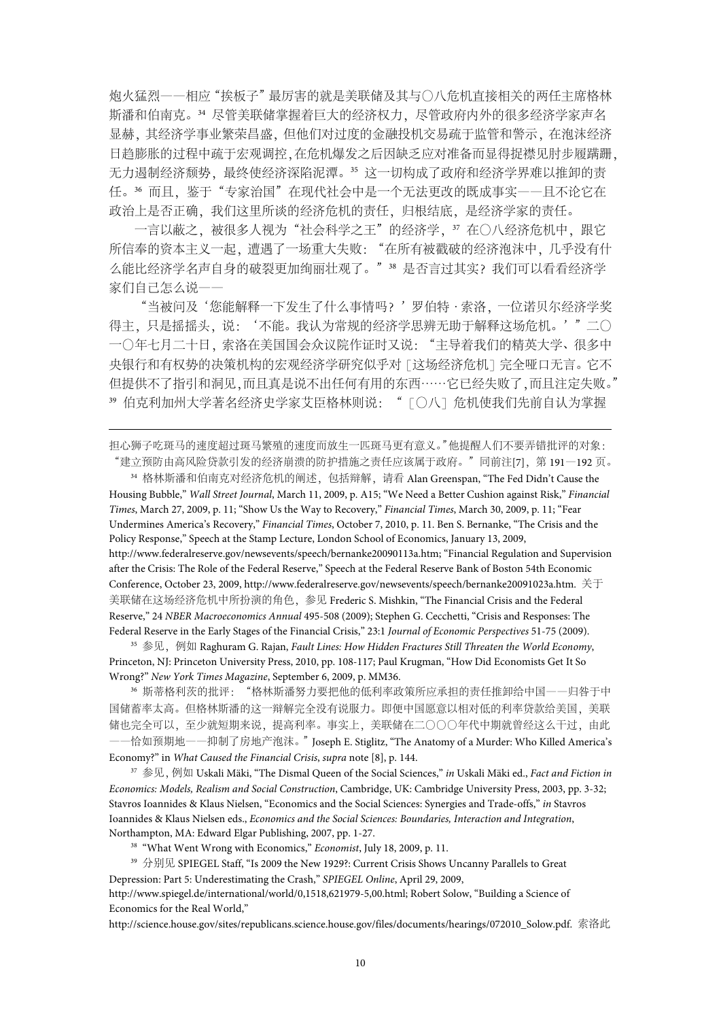炮火猛烈——相应"挨板子"最厉害的就是美联储及其与〇八危机直接相关的两任主席格林 斯潘和伯南克。<sup>34</sup> 尽管美联储掌握着巨大的经济权力,尽管政府内外的很多经济学家声名 显赫,其经济学事业繁荣昌盛,但他们对过度的金融投机交易疏于监管和警示,在泡沫经济 日趋膨胀的过程中疏于宏观调控,在危机爆发之后因缺乏应对准备而显得捉襟见肘步履蹒跚, 无力遏制经济颓势,最终使经济深陷泥潭。35 这一切构成了政府和经济学界难以推卸的责 任。<sup>36</sup> 而且,鉴于"专家治国"在现代社会中是一个无法更改的既成事实——且不论它在 政治上是否正确,我们这里所谈的经济危机的责任,归根结底,是经济学家的责任。

一言以蔽之,被很多人视为"社会科学之王"的经济学, 37 在〇八经济危机中, 跟它 所信奉的资本主义一起,遭遇了一场重大失败: "在所有被戳破的经济泡沫中,几乎没有什 么能比经济学名声自身的破裂更加绚丽壮观了。"38 是否言过其实?我们可以看看经济学 家们自己怎么说——

"当被问及'您能解释一下发生了什么事情吗?'罗伯特·索洛,一位诺贝尔经济学奖 得主,只是摇摇头,说:'不能。我认为常规的经济学思辨无助于解释这场危机。'"二〇 一〇年七月二十日,索洛在美国国会众议院作证时又说:"主导着我们的精英大学、很多中 央银行和有权势的决策机构的宏观经济学研究似乎对「这场经济危机]完全哑口无言。它不 但提供不了指引和洞见,而且真是说不出任何有用的东西……它已经失败了,而且注定失败。" 39 伯克利加州大学著名经济史学家艾臣格林则说: "[〇八]危机使我们先前自认为掌握

担心狮子吃斑马的速度超过斑马繁殖的速度而放生一匹斑马更有意义。"他提醒人们不要弄错批评的对象: "建立预防由高风险贷款引发的经济崩溃的防护措施之责任应该属于政府。"同前注[7], 第 191-192 页。

-

<sup>34</sup> 格林斯潘和伯南克对经济危机的阐述,包括辩解,请看 Alan Greenspan, "The Fed Didn't Cause the Housing Bubble," *Wall Street Journal*, March 11, 2009, p. A15; "We Need a Better Cushion against Risk," *Financial Times*, March 27, 2009, p. 11; "Show Us the Way to Recovery," *Financial Times*, March 30, 2009, p. 11; "Fear Undermines America's Recovery," *Financial Times*, October 7, 2010, p. 11. Ben S. Bernanke, "The Crisis and the Policy Response," Speech at the Stamp Lecture, London School of Economics, January 13, 2009, http://www.federalreserve.gov/newsevents/speech/bernanke20090113a.htm; "Financial Regulation and Supervision after the Crisis: The Role of the Federal Reserve," Speech at the Federal Reserve Bank of Boston 54th Economic Conference, October 23, 2009, http://www.federalreserve.gov/newsevents/speech/bernanke20091023a.htm. 关于 美联储在这场经济危机中所扮演的角色,参见 Frederic S. Mishkin, "The Financial Crisis and the Federal Reserve," 24 *NBER Macroeconomics Annual* 495-508 (2009); Stephen G. Cecchetti, "Crisis and Responses: The Federal Reserve in the Early Stages of the Financial Crisis," 23:1 *Journal of Economic Perspectives* 51-75 (2009).

<sup>35</sup> 参见, 例如 Raghuram G. Rajan, *Fault Lines: How Hidden Fractures Still Threaten the World Economy,* Princeton, NJ: Princeton University Press, 2010, pp. 108-117; Paul Krugman, "How Did Economists Get It So Wrong?" *New York Times Magazine*, September 6, 2009, p. MM36.

<sup>36</sup> 斯蒂格利茨的批评:"格林斯潘努力要把他的低利率政策所应承担的责任推卸给中国——归咎于中 国储蓄率太高。但格林斯潘的这一辩解完全没有说服力。即便中国愿意以相对低的利率贷款给美国,美联 储也完全可以,至少就短期来说,提高利率。事实上,美联储在二〇〇〇年代中期就曾经这么干过,由此 ——恰如预期地——抑制了房地产泡沫。"Joseph E. Stiglitz, "The Anatomy of a Murder: Who Killed America's Economy?" in *What Caused the Financial Crisis*, *supra* note [8], p. 144.

<sup>37</sup> 参见, 例如 Uskali Mäki, "The Dismal Queen of the Social Sciences," *in* Uskali Mäki ed., *Fact and Fiction in Economics: Models, Realism and Social Construction*, Cambridge, UK: Cambridge University Press, 2003, pp. 3-32; Stavros Ioannides & Klaus Nielsen, "Economics and the Social Sciences: Synergies and Trade-offs," *in* Stavros Ioannides & Klaus Nielsen eds., *Economics and the Social Sciences: Boundaries, Interaction and Integration*, Northampton, MA: Edward Elgar Publishing, 2007, pp. 1-27.

<sup>38</sup> "What Went Wrong with Economics," *Economist*, July 18, 2009, p. 11.

<sup>39</sup> 分别见 SPIEGEL Staff, "Is 2009 the New 1929?: Current Crisis Shows Uncanny Parallels to Great Depression: Part 5: Underestimating the Crash," *SPIEGEL Online*, April 29, 2009,

http://www.spiegel.de/international/world/0,1518,621979-5,00.html; Robert Solow, "Building a Science of Economics for the Real World,"

http://science.house.gov/sites/republicans.science.house.gov/files/documents/hearings/072010\_Solow.pdf. 索洛此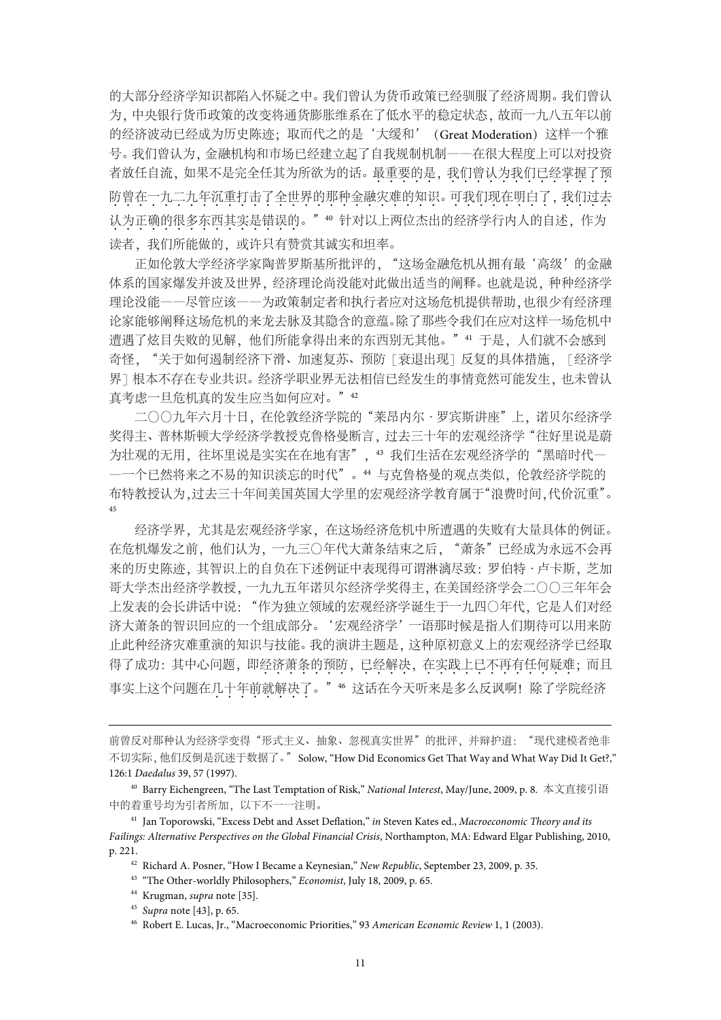的大部分经济学知识都陷入怀疑之中。我们曾认为货币政策已经驯服了经济周期。我们曾认 为,中央银行货币政策的改变将通货膨胀维系在了低水平的稳定状态,故而一九八五年以前 的经济波动已经成为历史陈迹;取而代之的是'大缓和'(Great Moderation)这样一个雅 号。我们曾认为,金融机构和市场已经建立起了自我规制机制——在很大程度上可以对投资 者放任自流,如果不是完全任其为所欲为的话。最重要的是,我们曾认为我们已经掌握了预 防曾在一九二九年沉重打击了全世界的那种金融灾难的知识。可我们现在明白了, 我们过去 认为正确的很多东西其实是错误的。"40 针对以上两位杰出的经济学行内人的自述,作为 读者,我们所能做的,或许只有赞赏其诚实和坦率。

正如伦敦大学经济学家陶普罗斯基所批评的, "这场金融危机从拥有最'高级'的金融 体系的国家爆发并波及世界,经济理论尚没能对此做出适当的阐释。也就是说,种种经济学 理论没能——尽管应该——为政策制定者和执行者应对这场危机提供帮助,也很少有经济理 论家能够阐释这场危机的来龙去脉及其隐含的意蕴。除了那些令我们在应对这样一场危机中 遭遇了炫目失败的见解,他们所能拿得出来的东西别无其他。" 41 于是,人们就不会感到 奇怪, "关于如何遏制经济下滑、加速复苏、预防「衰退出现]反复的具体措施, 「经济学 界]根本不存在专业共识。经济学职业界无法相信已经发生的事情竟然可能发生,也未曾认 真考虑一旦危机真的发生应当如何应对。"42

二〇〇九年六月十日,在伦敦经济学院的"莱昂内尔·罗宾斯讲座"上,诺贝尔经济学 奖得主、普林斯顿大学经济学教授克鲁格曼断言,过去三十年的宏观经济学"往好里说是蔚 为壮观的无用, 往坏里说是实实在在地有害", <sup>43</sup> 我们生活在宏观经济学的"黑暗时代一 —一个已然将来之不易的知识淡忘的时代"。<sup>44</sup> 与克鲁格曼的观点类似,伦敦经济学院的 布特教授认为,过去三十年间美国英国大学里的宏观经济学教育属于"浪费时间,代价沉重"。 45

经济学界,尤其是宏观经济学家,在这场经济危机中所遭遇的失败有大量具体的例证。 在危机爆发之前,他们认为,一九三〇年代大萧条结束之后,"萧条"已经成为永远不会再 来的历史陈迹,其智识上的自负在下述例证中表现得可谓淋漓尽致:罗伯特·卢卡斯,芝加 哥大学杰出经济学教授,一九九五年诺贝尔经济学奖得主,在美国经济学会二〇〇三年年会 上发表的会长讲话中说:"作为独立领域的宏观经济学诞生于一九四〇年代,它是人们对经 济大萧条的智识回应的一个组成部分。'宏观经济学'一语那时候是指人们期待可以用来防 止此种经济灾难重演的知识与技能。我的演讲主题是,这种原初意义上的宏观经济学已经取 得了成功:其中心问题,即经济萧条的预防,已经解决,在实践上已不再有任何疑难;而且 事实上这个问题在几十年前就解决了。"46 这话在今天听来是多么反讽啊!除了学院经济

- <sup>42</sup> Richard A. Posner, "How I Became a Keynesian," *New Republic*, September 23, 2009, p. 35.
- <sup>43</sup> "The Other-worldly Philosophers," *Economist*, July 18, 2009, p. 65.
- <sup>44</sup> Krugman, *supra* note [35].

<sup>-</sup>

前曾反对那种认为经济学变得"形式主义、抽象、忽视真实世界"的批评,并辩护道: "现代建模者绝非 不切实际,他们反倒是沉迷于数据了。"Solow, "How Did Economics Get That Way and What Way Did It Get?," 126:1 *Daedalus* 39, 57 (1997).

<sup>40</sup> Barry Eichengreen, "The Last Temptation of Risk," *National Interest*, May/June, 2009, p. 8. 本文直接引语 中的着重号均为引者所加,以下不一一注明。

<sup>41</sup> Jan Toporowski, "Excess Debt and Asset Deflation," *in* Steven Kates ed., *Macroeconomic Theory and its Failings: Alternative Perspectives on the Global Financial Crisis*, Northampton, MA: Edward Elgar Publishing, 2010, p. 221.

<sup>45</sup> *Supra* note [43], p. 65.

<sup>46</sup> Robert E. Lucas, Jr., "Macroeconomic Priorities," 93 *American Economic Review* 1, 1 (2003).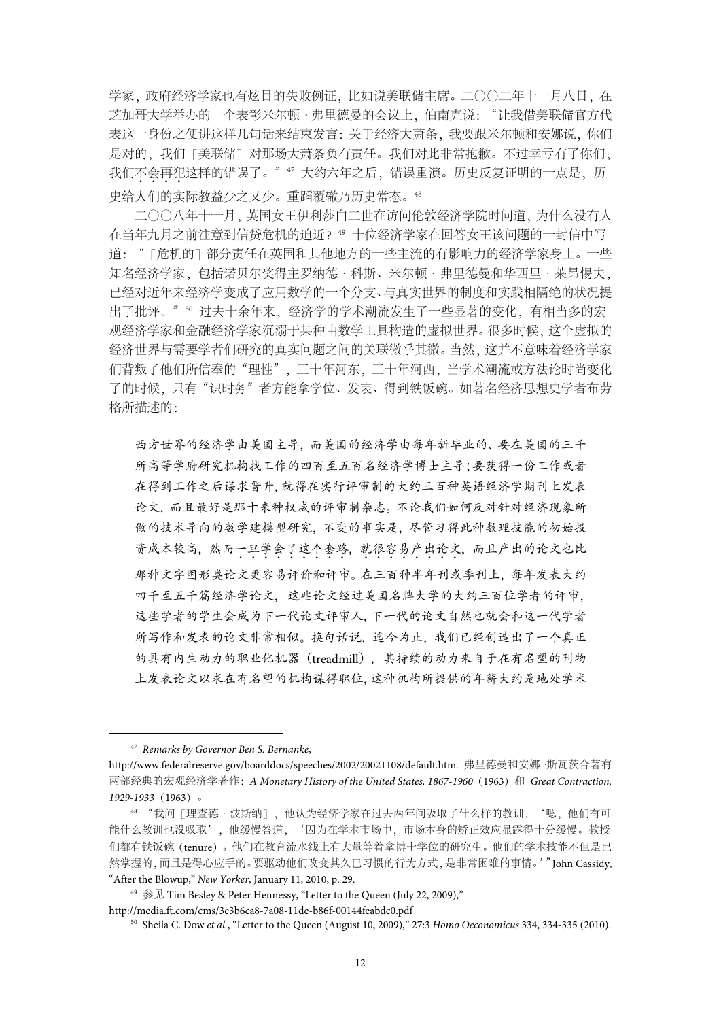学家,政府经济学家也有炫目的失败例证,比如说美联储主席。二〇〇二年十一月八日,在 芝加哥大学举办的一个表彰米尔顿·弗里德曼的会议上,伯南克说: "让我借美联储官方代 表这一身份之便讲这样几句话来结束发言:关于经济大萧条,我要跟米尔顿和安娜说,你们 是对的,我们「美联储」对那场大萧条负有责任。我们对此非常抱歉。不过幸亏有了你们, 我们不会再犯这样的错误了。"47 大约六年之后,错误重演。历史反复证明的一点是,历 史给人们的实际教益少之又少。重蹈覆辙乃历史常态。<sup>48</sup>

二〇〇八年十一月,英国女王伊利莎白二世在访问伦敦经济学院时问道,为什么没有人 在当年九月之前注意到信贷危机的迫近?<sup>49</sup> 十位经济学家在回答女王该问题的一封信中写 道: "「危机的]部分责任在英国和其他地方的一些主流的有影响力的经济学家身上。一些 知名经济学家,包括诺贝尔奖得主罗纳德·科斯、米尔顿·弗里德曼和华西里·莱昂惕夫, 已经对近年来经济学变成了应用数学的一个分支、与真实世界的制度和实践相隔绝的状况提 出了批评。"50 过去十余年来,经济学的学术潮流发生了一些显著的变化,有相当多的宏 观经济学家和金融经济学家沉溺于某种由数学工具构造的虚拟世界。很多时候,这个虚拟的 经济世界与需要学者们研究的真实问题之间的关联微乎其微。当然,这并不意味着经济学家 们背叛了他们所信奉的"理性",三十年河东,三十年河西,当学术潮流或方法论时尚变化 了的时候,只有"识时务"者方能拿学位、发表、得到铁饭碗。如著名经济思想史学者布劳 格所描述的:

西方世界的经济学由美国主导,而美国的经济学由每年新毕业的、要在美国的三千 所高等学府研究机构找工作的四百至五百名经济学博士主导;要获得一份工作或者 在得到工作之后谋求晋升,就得在实行评审制的大约三百种英语经济学期刊上发表 论文,而且最好是那十来种权威的评审制杂志。不论我们如何反对针对经济现象所 做的技术导向的数学建模型研究,不变的事实是,尽管习得此种数理技能的初始投 资成本较高,然而一旦学会了这个套路,就很容易产出论文,而且产出的论文也比 那种文字图形类论文更容易评价和评审。在三百种半年刊或季刊上,每年发表大约 四千至五千篇经济学论文,这些论文经过美国名牌大学的大约三百位学者的评审, 这些学者的学生会成为下一代论文评审人,下一代的论文自然也就会和这一代学者 所写作和发表的论文非常相似。换句话说, 迄今为止, 我们已经创造出了一个真正 的具有内生动力的职业化机器(treadmill),其持续的动力来自于在有名望的刊物 上发表论文以求在有名望的机构谋得职位,这种机构所提供的年薪大约是地处学术

 <sup>47</sup> *Remarks by Governor Ben S. Bernanke*,

http://www.federalreserve.gov/boarddocs/speeches/2002/20021108/default.htm. 弗里德曼和安娜·斯瓦茨合著有 两部经典的宏观经济学著作:*A Monetary History of the United States, 1867-1960*(1963)和 *Great Contraction, 1929-1933*(1963)。

<sup>48</sup> "我问[理查德·波斯纳],他认为经济学家在过去两年间吸取了什么样的教训,'嗯,他们有可 能什么教训也没吸取',他缓慢答道,'因为在学术市场中,市场本身的矫正效应显露得十分缓慢。教授 们都有铁饭碗(tenure)。他们在教育流水线上有大量等着拿博士学位的研究生。他们的学术技能不但是已 然掌握的,而且是得心应手的。要驱动他们改变其久已习惯的行为方式,是非常困难的事情。'"John Cassidy, "After the Blowup," *New Yorker*, January 11, 2010, p. 29.

<sup>&</sup>lt;sup>49</sup> 参见 Tim Besley & Peter Hennessy, "Letter to the Queen (July 22, 2009),"

http://media.ft.com/cms/3e3b6ca8-7a08-11de-b86f-00144feabdc0.pdf

<sup>50</sup> Sheila C. Dow *et al.*, "Letter to the Queen (August 10, 2009)," 27:3 *Homo Oeconomicus* 334, 334-335 (2010).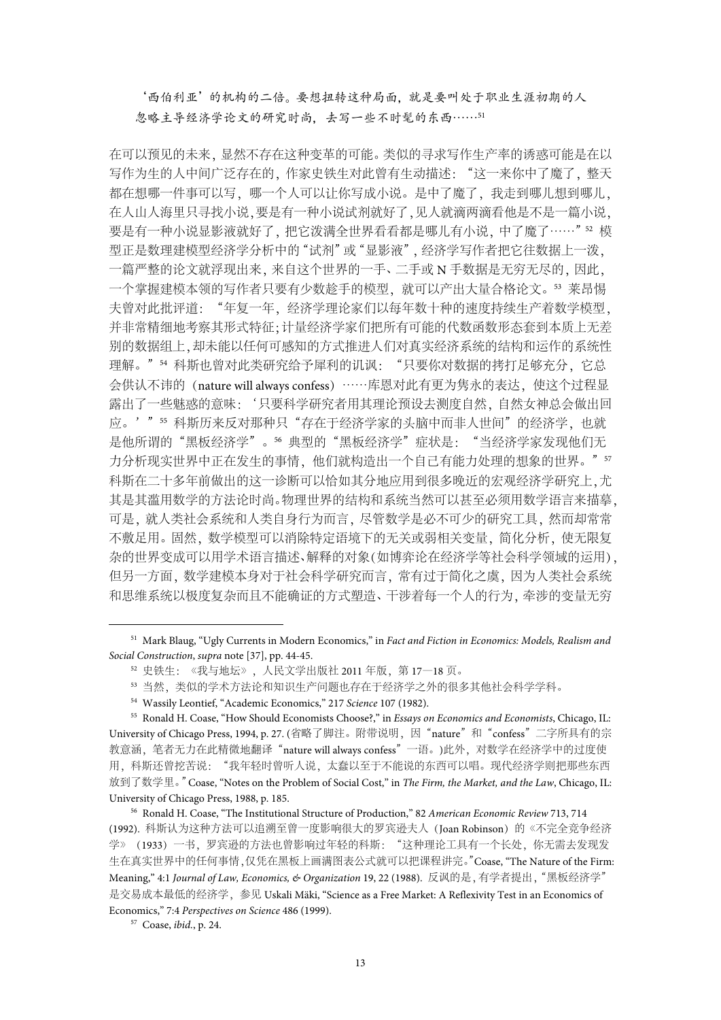'西伯利亚'的机构的二倍。要想扭转这种局面,就是要叫处于职业生涯初期的人 忽略主导经济学论文的研究时尚,去写一些不时髦的东西……<sup>51</sup>

在可以预见的未来,显然不存在这种变革的可能。类似的寻求写作生产率的诱惑可能是在以 写作为生的人中间广泛存在的,作家史铁生对此曾有生动描述: "这一来你中了魔了, 整天 都在想哪一件事可以写,哪一个人可以让你写成小说。是中了魔了,我走到哪儿想到哪儿, 在人山人海里只寻找小说,要是有一种小说试剂就好了,见人就滴两滴看他是不是一篇小说, 要是有一种小说显影液就好了,把它泼满全世界看看都是哪儿有小说,中了魔了……"52 模 型正是数理建模型经济学分析中的"试剂"或"显影液",经济学写作者把它往数据上一泼, 一篇严整的论文就浮现出来,来自这个世界的一手、二手或 N 手数据是无穷无尽的,因此, 一个掌握建模本领的写作者只要有少数趁手的模型,就可以产出大量合格论文。<sup>53</sup> 莱昂惕 夫曾对此批评道:"年复一年,经济学理论家们以每年数十种的速度持续生产着数学模型, 并非常精细地考察其形式特征;计量经济学家们把所有可能的代数函数形态套到本质上无差 别的数据组上,却未能以任何可感知的方式推进人们对真实经济系统的结构和运作的系统性 理解。"54 科斯也曾对此类研究给予犀利的讥讽: "只要你对数据的拷打足够充分, 它总 会供认不讳的(nature will always confess)……库恩对此有更为隽永的表达,使这个过程显 露出了一些魅惑的意味:'只要科学研究者用其理论预设去测度自然,自然女神总会做出回 应。'"55 科斯历来反对那种只"存在于经济学家的头脑中而非人世间"的经济学,也就 是他所谓的"黑板经济学"。56 典型的"黑板经济学"症状是: "当经济学家发现他们无 力分析现实世界中正在发生的事情,他们就构造出一个自己有能力处理的想象的世界。"57 科斯在二十多年前做出的这一诊断可以恰如其分地应用到很多晚近的宏观经济学研究上,尤 其是其滥用数学的方法论时尚。物理世界的结构和系统当然可以甚至必须用数学语言来描摹, 可是,就人类社会系统和人类自身行为而言,尽管数学是必不可少的研究工具,然而却常常 不敷足用。固然,数学模型可以消除特定语境下的无关或弱相关变量,简化分析,使无限复 杂的世界变成可以用学术语言描述、解释的对象(如博弈论在经济学等社会科学领域的运用), 但另一方面,数学建模本身对于社会科学研究而言,常有过于简化之虞,因为人类社会系统 和思维系统以极度复杂而且不能确证的方式塑造、干涉着每一个人的行为,牵涉的变量无穷

 <sup>51</sup> Mark Blaug, "Ugly Currents in Modern Economics," in *Fact and Fiction in Economics: Models, Realism and Social Construction*, *supra* note [37], pp. 44-45.

<sup>52</sup> 史铁生:《我与地坛》,人民文学出版社 2011 年版,第 17—18 页。

<sup>53</sup> 当然,类似的学术方法论和知识生产问题也存在于经济学之外的很多其他社会科学学科。

<sup>54</sup> Wassily Leontief, "Academic Economics," 217 *Science* 107 (1982).

<sup>55</sup> Ronald H. Coase, "How Should Economists Choose?," in *Essays on Economics and Economists*, Chicago, IL: University of Chicago Press, 1994, p. 27. (省略了脚注。附带说明,因"nature"和"confess"二字所具有的宗 教意涵,笔者无力在此精微地翻译"nature will always confess"一语。)此外,对数学在经济学中的过度使 用,科斯还曾挖苦说:"我年轻时曾听人说,太蠢以至于不能说的东西可以唱。现代经济学则把那些东西 放到了数学里。"Coase, "Notes on the Problem of Social Cost," in *The Firm, the Market, and the Law*, Chicago, IL: University of Chicago Press, 1988, p. 185.

<sup>56</sup> Ronald H. Coase, "The Institutional Structure of Production," 82 *American Economic Review* 713, 714 (1992). 科斯认为这种方法可以追溯至曾一度影响很大的罗宾逊夫人(Joan Robinson)的《不完全竞争经济 学》(1933)一书,罗宾逊的方法也曾影响过年轻的科斯:"这种理论工具有一个长处,你无需去发现发 生在真实世界中的任何事情,仅凭在黑板上画满图表公式就可以把课程讲完。"Coase, "The Nature of the Firm: Meaning," 4:1 *Journal of Law, Economics, & Organization* 19, 22 (1988). 反讽的是,有学者提出,"黑板经济学" 是交易成本最低的经济学,参见 Uskali Mäki, "Science as a Free Market: A Reflexivity Test in an Economics of Economics," 7:4 *Perspectives on Science* 486 (1999).

<sup>57</sup> Coase, *ibid.*, p. 24.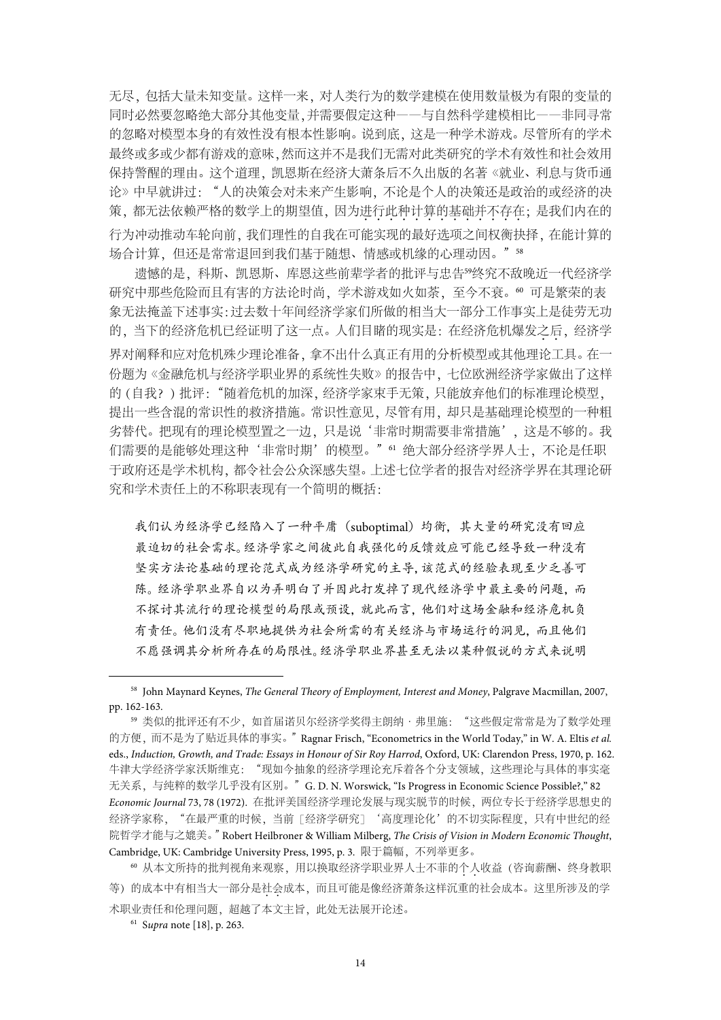无尽,包括大量未知变量。这样一来,对人类行为的数学建模在使用数量极为有限的变量的 同时必然要忽略绝大部分其他变量,并需要假定这种——与自然科学建模相比——非同寻常 的忽略对模型本身的有效性没有根本性影响。说到底,这是一种学术游戏。尽管所有的学术 最终或多或少都有游戏的意味,然而这并不是我们无需对此类研究的学术有效性和社会效用 保持警醒的理由。这个道理,凯恩斯在经济大萧条后不久出版的名著《就业、利息与货币通 论》中早就讲过:"人的决策会对未来产生影响,不论是个人的决策还是政治的或经济的决 策,都无法依赖严格的数学上的期望值,因为进行此种计算的基础并不存在;是我们内在的 行为冲动推动车轮向前,我们理性的自我在可能实现的最好选项之间权衡抉择,在能计算的 场合计算,但还是常常退回到我们基于随想、情感或机缘的心理动因。"58

遗憾的是,科斯、凯恩斯、库恩这些前辈学者的批评与忠告<sup>59</sup>终究不敌晚近一代经济学 研究中那些危险而且有害的方法论时尚,学术游戏如火如荼,至今不衰。60 可是繁荣的表 象无法掩盖下述事实:过去数十年间经济学家们所做的相当大一部分工作事实上是徒劳无功 的,当下的经济危机已经证明了这一点。人们目睹的现实是: 在经济危机爆发之后, 经济学 界对阐释和应对危机殊少理论准备,拿不出什么真正有用的分析模型或其他理论工具。在一 份题为《金融危机与经济学职业界的系统性失败》的报告中,七位欧洲经济学家做出了这样 的(自我?)批评:"随着危机的加深,经济学家束手无策,只能放弃他们的标准理论模型, 提出一些含混的常识性的救济措施。常识性意见,尽管有用,却只是基础理论模型的一种粗 劣替代。把现有的理论模型置之一边,只是说'非常时期需要非常措施',这是不够的。我 们需要的是能够处理这种'非常时期'的模型。"<sup>61</sup> 绝大部分经济学界人士,不论是任职 于政府还是学术机构,都令社会公众深感失望。上述七位学者的报告对经济学界在其理论研 究和学术责任上的不称职表现有一个简明的概括:

我们认为经济学已经陷入了一种平庸(suboptimal)均衡,其大量的研究没有回应 最迫切的社会需求。经济学家之间彼此自我强化的反馈效应可能已经导致一种没有 坚实方法论基础的理论范式成为经济学研究的主导,该范式的经验表现至少乏善可 陈。经济学职业界自以为弄明白了并因此打发掉了现代经济学中最主要的问题,而 不探讨其流行的理论模型的局限或预设,就此而言,他们对这场金融和经济危机负 有责任。他们没有尽职地提供为社会所需的有关经济与市场运行的洞见,而且他们 不愿强调其分析所存在的局限性。经济学职业界甚至无法以某种假说的方式来说明

 <sup>58</sup> John Maynard Keynes, *The General Theory of Employment, Interest and Money*, Palgrave Macmillan, 2007, pp. 162-163.

<sup>59</sup> 类似的批评还有不少,如首届诺贝尔经济学奖得主朗纳·弗里施:"这些假定常常是为了数学处理 的方便,而不是为了贴近具体的事实。"Ragnar Frisch, "Econometrics in the World Today," in W. A. Eltis *et al.* eds., *Induction, Growth, and Trade: Essays in Honour of Sir Roy Harrod*, Oxford, UK: Clarendon Press, 1970, p. 162. 牛津大学经济学家沃斯维克: "现如今抽象的经济学理论充斥着各个分支领域, 这些理论与具体的事实毫 无关系,与纯粹的数学几乎没有区别。"G. D. N. Worswick, "Is Progress in Economic Science Possible?," 82 *Economic Journal* 73, 78 (1972). 在批评美国经济学理论发展与现实脱节的时候,两位专长于经济学思想史的 经济学家称, "在最严重的时候, 当前「经济学研究」'高度理论化'的不切实际程度, 只有中世纪的经 院哲学才能与之媲美。"Robert Heilbroner & William Milberg, *The Crisis of Vision in Modern Economic Thought*, Cambridge, UK: Cambridge University Press, 1995, p. 3. 限于篇幅, 不列举更多。

<sup>60</sup> 从本文所持的批判视角来观察,用以换取经济学职业界人士不菲的个人..收益(咨询薪酬、终身教职 等)的成本中有相当大一部分是社会成本,而且可能是像经济萧条这样沉重的社会成本。这里所涉及的学 术职业责任和伦理问题,超越了本文主旨,此处无法展开论述。

<sup>61</sup> S*upra* note [18], p. 263.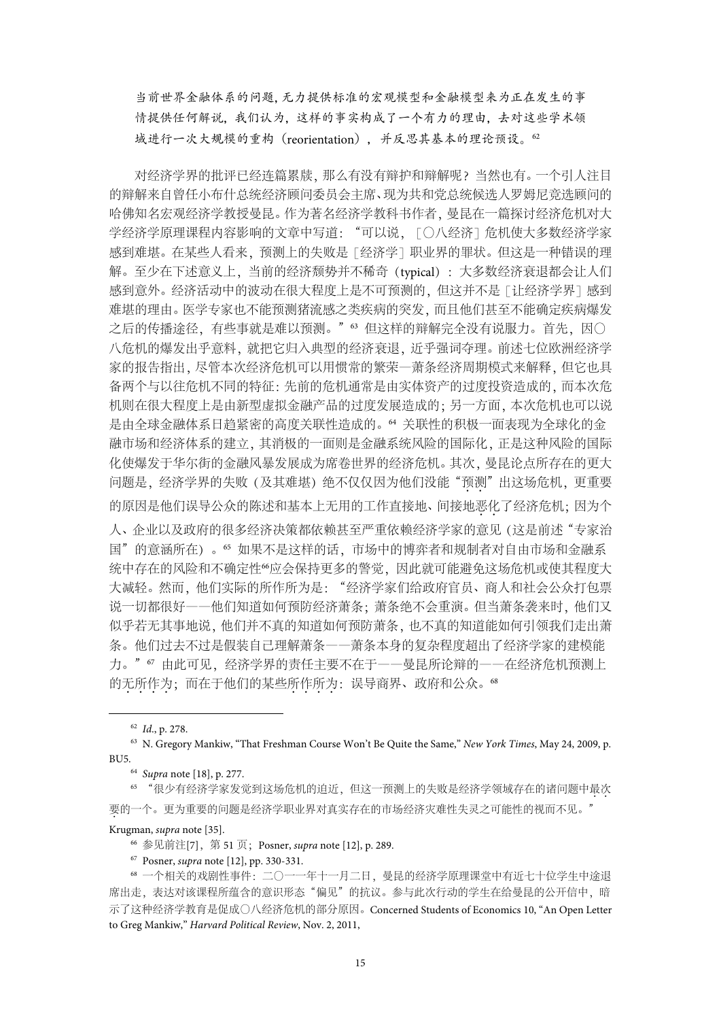当前世界金融体系的问题,无力提供标准的宏观模型和金融模型来为正在发生的事 情提供任何解说,我们认为,这样的事实构成了一个有力的理由,去对这些学术领 域进行一次大规模的重构(reorientation),并反思其基本的理论预设。<sup>62</sup>

对经济学界的批评已经连篇累牍,那么有没有辩护和辩解呢?当然也有。一个引人注目 的辩解来自曾任小布什总统经济顾问委员会主席、现为共和党总统候选人罗姆尼竞选顾问的 哈佛知名宏观经济学教授曼昆。作为著名经济学教科书作者,曼昆在一篇探讨经济危机对大 学经济学原理课程内容影响的文章中写道: "可以说, [〇八经济]危机使大多数经济学家 感到难堪。在某些人看来,预测上的失败是 [经济学] 职业界的罪状。但这是一种错误的理 解。至少在下述意义上,当前的经济颓势并不稀奇(typical): 大多数经济衰退都会让人们 感到意外。经济活动中的波动在很大程度上是不可预测的,但这并不是「让经济学界」感到 难堪的理由。医学专家也不能预测猪流感之类疾病的突发,而且他们甚至不能确定疾病爆发 之后的传播途径,有些事就是难以预测。"63 但这样的辩解完全没有说服力。首先,因〇 八危机的爆发出乎意料,就把它归入典型的经济衰退,近乎强词夺理。前述七位欧洲经济学 家的报告指出,尽管本次经济危机可以用惯常的繁荣—萧条经济周期模式来解释,但它也具 备两个与以往危机不同的特征:先前的危机通常是由实体资产的过度投资造成的,而本次危 机则在很大程度上是由新型虚拟金融产品的过度发展造成的;另一方面,本次危机也可以说 是由全球金融体系日趋紧密的高度关联性造成的。<sup>64</sup> 关联性的积极一面表现为全球化的金 融市场和经济体系的建立,其消极的一面则是金融系统风险的国际化,正是这种风险的国际 化使爆发于华尔街的金融风暴发展成为席卷世界的经济危机。其次,曼昆论点所存在的更大 问题是,经济学界的失败(及其难堪)绝不仅仅因为他们没能"预测"出这场危机,更重要 的原因是他们误导公众的陈述和基本上无用的工作直接地、间接地恶化了经济危机;因为个 人、企业以及政府的很多经济决策都依赖甚至严重依赖经济学家的意见(这是前述"专家治 国"的意涵所在)。<sup>65</sup> 如果不是这样的话,市场中的博弈者和规制者对自由市场和金融系 统中存在的风险和不确定性%应会保持更多的警觉,因此就可能避免这场危机或使其程度大 大减轻。然而,他们实际的所作所为是:"经济学家们给政府官员、商人和社会公众打包票 说一切都很好——他们知道如何预防经济萧条;萧条绝不会重演。但当萧条袭来时,他们又 似乎若无其事地说,他们并不真的知道如何预防萧条,也不真的知道能如何引领我们走出萧 条。他们过去不过是假装自己理解萧条——萧条本身的复杂程度超出了经济学家的建模能 力。"67 由此可见, 经济学界的责任主要不在于——曼昆所论辩的——在经济危机预测上 的无所作为;而在于他们的某些所作所为:误导商界、政府和公众。68

62 *Id*., p. 278.

<sup>63</sup> N. Gregory Mankiw, "That Freshman Course Won't Be Quite the Same," *New York Times*, May 24, 2009, p. BU5.64 *Supra* note [18], p. 277.

<sup>65</sup> "很少有经济学家发觉到这场危机的迫近,但这一预测上的失败是经济学领域存在的诸问题中最次.. 要.的一个。更为重要的问题是经济学职业界对真实存在的市场经济灾难性失灵之可能性的视而不见。"

Krugman, *supra* note [35].

<sup>66</sup> 参见前注[7],第 51 页;Posner, *supra* note [12], p. 289.

<sup>67</sup> Posner, *supra* note [12], pp. 330-331.

<sup>68</sup> 一个相关的戏剧性事件:二〇一一年十一月二日,曼昆的经济学原理课堂中有近七十位学生中途退 席出走,表达对该课程所蕴含的意识形态"偏见"的抗议。参与此次行动的学生在给曼昆的公开信中,暗 示了这种经济学教育是促成〇八经济危机的部分原因。Concerned Students of Economics 10, "An Open Letter to Greg Mankiw," *Harvard Political Review*, Nov. 2, 2011,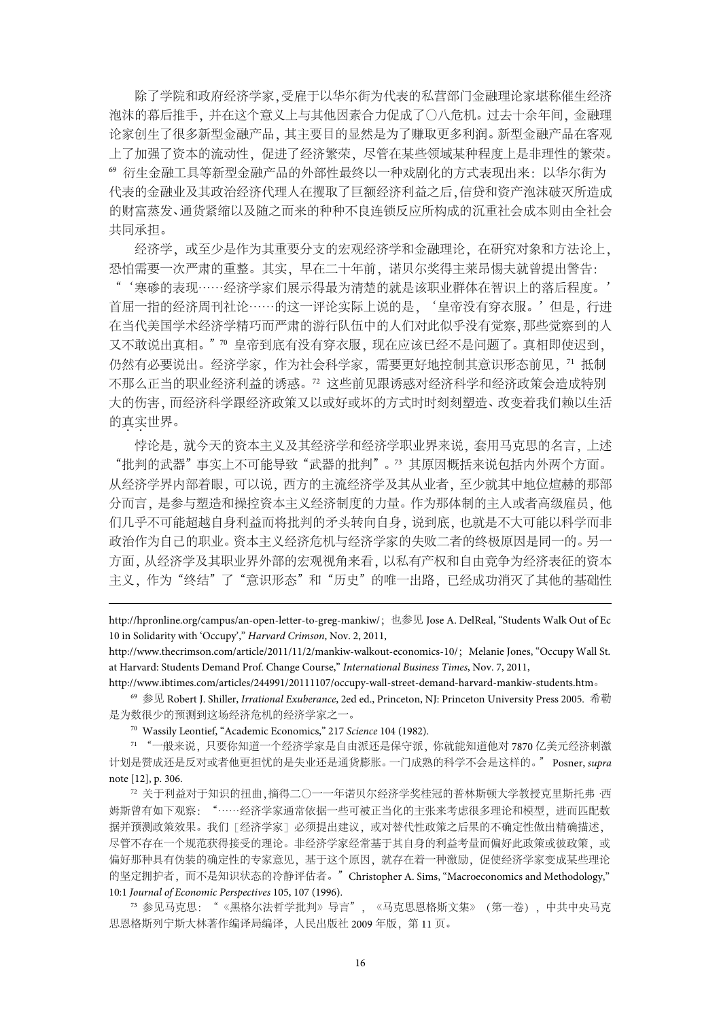除了学院和政府经济学家,受雇于以华尔街为代表的私营部门金融理论家堪称催生经济 泡沫的幕后推手,并在这个意义上与其他因素合力促成了〇八危机。过去十余年间,金融理 论家创生了很多新型金融产品,其主要目的显然是为了赚取更多利润。新型金融产品在客观 上了加强了资本的流动性,促进了经济繁荣,尽管在某些领域某种程度上是非理性的繁荣。 <sup>69</sup> 衍生金融工具等新型金融产品的外部性最终以一种戏剧化的方式表现出来:以华尔街为 代表的金融业及其政治经济代理人在攫取了巨额经济利益之后,信贷和资产泡沫破灭所造成 的财富蒸发、通货紧缩以及随之而来的种种不良连锁反应所构成的沉重社会成本则由全社会 共同承担。

经济学,或至少是作为其重要分支的宏观经济学和金融理论,在研究对象和方法论上, 恐怕需要一次严肃的重整。其实,早在二十年前,诺贝尔奖得主莱昂惕夫就曾提出警告:

"'寒碜的表现……经济学家们展示得最为清楚的就是该职业群体在智识上的落后程度。' 首屈一指的经济周刊社论……的这一评论实际上说的是,'皇帝没有穿衣服。'但是,行进 在当代美国学术经济学精巧而严肃的游行队伍中的人们对此似乎没有觉察,那些觉察到的人 又不敢说出真相。"<sup>70</sup> 皇帝到底有没有穿衣服,现在应该已经不是问题了。真相即使迟到, 仍然有必要说出。经济学家,作为社会科学家,需要更好地控制其意识形态前见, 7 抵制 不那么正当的职业经济利益的诱惑。<sup>72</sup> 这些前见跟诱惑对经济科学和经济政策会造成特别 大的伤害,而经济科学跟经济政策又以或好或坏的方式时时刻刻塑造、改变着我们赖以生活 的真实世界。

悖论是,就今天的资本主义及其经济学和经济学职业界来说,套用马克思的名言,上述 "批判的武器"事实上不可能导致"武器的批判"。<sup>73</sup> 其原因概括来说包括内外两个方面。 从经济学界内部着眼,可以说,西方的主流经济学及其从业者,至少就其中地位煊赫的那部 分而言,是参与塑造和操控资本主义经济制度的力量。作为那体制的主人或者高级雇员,他 们几乎不可能超越自身利益而将批判的矛头转向自身,说到底,也就是不大可能以科学而非 政治作为自己的职业。资本主义经济危机与经济学家的失败二者的终极原因是同一的。另一 方面,从经济学及其职业界外部的宏观视角来看,以私有产权和自由竞争为经济表征的资本 主义,作为"终结"了"意识形态"和"历史"的唯一出路,已经成功消灭了其他的基础性

http://hpronline.org/campus/an-open-letter-to-greg-mankiw/;也参见 Jose A. DelReal, "Students Walk Out of Ec 10 in Solidarity with 'Occupy'," *Harvard Crimson*, Nov. 2, 2011,

http://www.thecrimson.com/article/2011/11/2/mankiw-walkout-economics-10/; Melanie Jones, "Occupy Wall St. at Harvard: Students Demand Prof. Change Course," *International Business Times*, Nov. 7, 2011,

http://www.ibtimes.com/articles/244991/20111107/occupy-wall-street-demand-harvard-mankiw-students.htm。

<sup>69</sup> 参见 Robert J. Shiller, *Irrational Exuberance*, 2ed ed., Princeton, NJ: Princeton University Press 2005. 希勒 是为数很少的预测到这场经济危机的经济学家之一。

<sup>70</sup> Wassily Leontief, "Academic Economics," 217 *Science* 104 (1982).

10:1 *Journal of Economic Perspectives* 105, 107 (1996).

<sup>-</sup>

<sup>71</sup> "一般来说,只要你知道一个经济学家是自由派还是保守派,你就能知道他对 7870 亿美元经济刺激 计划是赞成还是反对或者他更担忧的是失业还是通货膨胀。一门成熟的科学不会是这样的。" Posner, *supra*  note [12], p. 306.

<sup>72</sup> 关于利益对于知识的扭曲,摘得二〇一一年诺贝尔经济学奖桂冠的普林斯顿大学教授克里斯托弗·西 姆斯曾有如下观察: "……经济学家通常依据一些可被正当化的主张来考虑很多理论和模型,进而匹配数 据并预测政策效果。我们[经济学家]必须提出建议,或对替代性政策之后果的不确定性做出精确描述, 尽管不存在一个规范获得接受的理论。非经济学家经常基于其自身的利益考量而偏好此政策或彼政策,或 偏好那种具有伪装的确定性的专家意见,基于这个原因,就存在着一种激励,促使经济学家变成某些理论 的坚定拥护者,而不是知识状态的冷静评估者。"Christopher A. Sims, "Macroeconomics and Methodology,"

<sup>73</sup> 参见马克思:"《黑格尔法哲学批判》导言",《马克思恩格斯文集》(第一卷),中共中央马克 思恩格斯列宁斯大林著作编译局编译,人民出版社 2009 年版,第 11 页。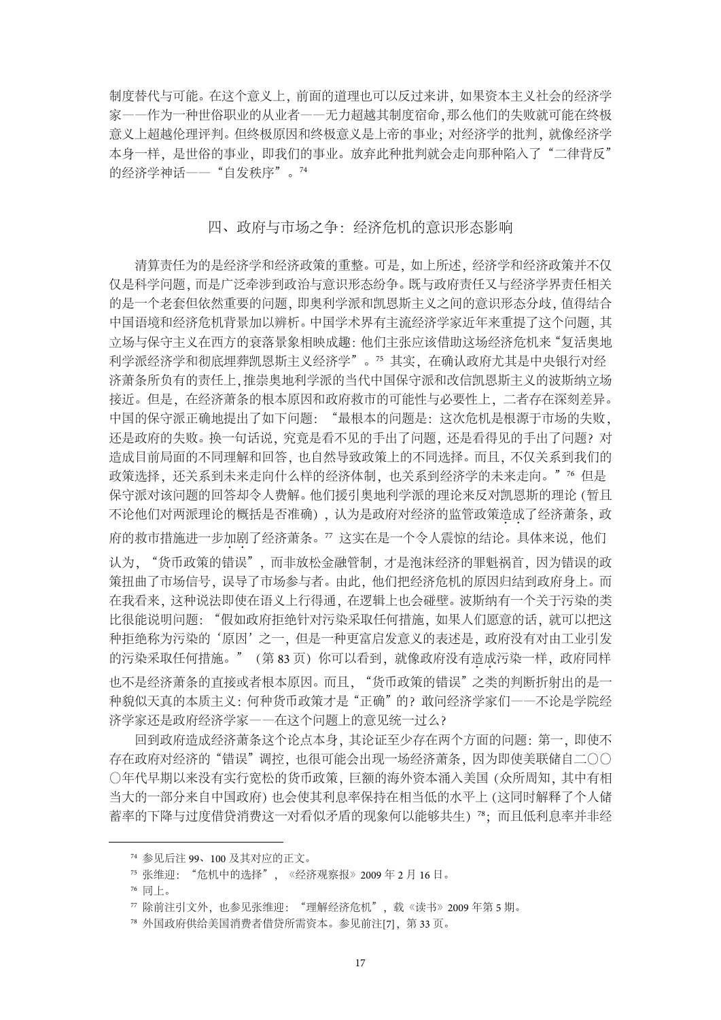制度替代与可能。在这个意义上,前面的道理也可以反过来讲,如果资本主义社会的经济学 家——作为一种世俗职业的从业者——无力超越其制度宿命,那么他们的失败就可能在终极 意义上超越伦理评判。但终极原因和终极意义是上帝的事业;对经济学的批判,就像经济学 本身一样,是世俗的事业,即我们的事业。放弃此种批判就会走向那种陷入了"二律背反" 的经济学神话——"自发秩序"。74

## 四、政府与市场之争:经济危机的意识形态影响

清算责任为的是经济学和经济政策的重整。可是,如上所述,经济学和经济政策并不仅 仅是科学问题,而是广泛牵涉到政治与意识形态纷争。既与政府责任又与经济学界责任相关 的是一个老套但依然重要的问题,即奥利学派和凯恩斯主义之间的意识形态分歧,值得结合 中国语境和经济危机背景加以辨析。中国学术界有主流经济学家近年来重提了这个问题,其 立场与保守主义在西方的衰落景象相映成趣:他们主张应该借助这场经济危机来"复活奥地 利学派经济学和彻底埋葬凯恩斯主义经济学"。<sup>75</sup> 其实,在确认政府尤其是中央银行对经 济萧条所负有的责任上,推崇奥地利学派的当代中国保守派和改信凯恩斯主义的波斯纳立场 接近。但是,在经济萧条的根本原因和政府救市的可能性与必要性上,二者存在深刻差异。 中国的保守派正确地提出了如下问题:"最根本的问题是:这次危机是根源于市场的失败, 还是政府的失败。换一句话说,究竟是看不见的手出了问题,还是看得见的手出了问题?对 造成目前局面的不同理解和回答,也自然导致政策上的不同选择。而且,不仅关系到我们的 政策选择,还关系到未来走向什么样的经济体制,也关系到经济学的未来走向。"76 但是 保守派对该问题的回答却令人费解。他们援引奥地利学派的理论来反对凯恩斯的理论(暂且 不论他们对两派理论的概括是否准确),认为是政府对经济的监管政策造成了经济萧条,政 府的救市措施进一步加剧了经济萧条。"这实在是一个令人震惊的结论。具体来说,他们 认为,"货币政策的错误",而非放松金融管制,才是泡沫经济的罪魁祸首,因为错误的政 策扭曲了市场信号,误导了市场参与者。由此,他们把经济危机的原因归结到政府身上。而 在我看来,这种说法即使在语义上行得通,在逻辑上也会碰壁。波斯纳有一个关于污染的类 比很能说明问题:"假如政府拒绝针对污染采取任何措施,如果人们愿意的话,就可以把这 种拒绝称为污染的'原因'之一,但是一种更富启发意义的表述是,政府没有对由工业引发 的污染采取任何措施。"(第83页)你可以看到,就像政府没有造成污染一样,政府同样 也不是经济萧条的直接或者根本原因。而且,"货币政策的错误"之类的判断折射出的是一 种貌似天真的本质主义:何种货币政策才是"正确"的?敢问经济学家们——不论是学院经 济学家还是政府经济学家——在这个问题上的意见统一过么?

回到政府造成经济萧条这个论点本身,其论证至少存在两个方面的问题:第一,即使不 存在政府对经济的"错误"调控,也很可能会出现一场经济萧条,因为即使美联储自二〇〇 〇年代早期以来没有实行宽松的货币政策,巨额的海外资本涌入美国(众所周知,其中有相 当大的一部分来自中国政府)也会使其利息率保持在相当低的水平上(这同时解释了个人储 蓄率的下降与过度借贷消费这一对看似矛盾的现象何以能够共生) 78;而且低利息率并非经

 <sup>74</sup> 参见后注 <sup>99</sup>、<sup>100</sup> 及其对应的正文。

<sup>75</sup> 张维迎:"危机中的选择",《经济观察报》2009 年 2 月 16 日。

<sup>76</sup> 同上。

 $7\,$  除前注引文外,也参见张维迎: "理解经济危机",载《读书》2009年第 5期。

<sup>78</sup> 外国政府供给美国消费者借贷所需资本。参见前注[7],第 33 页。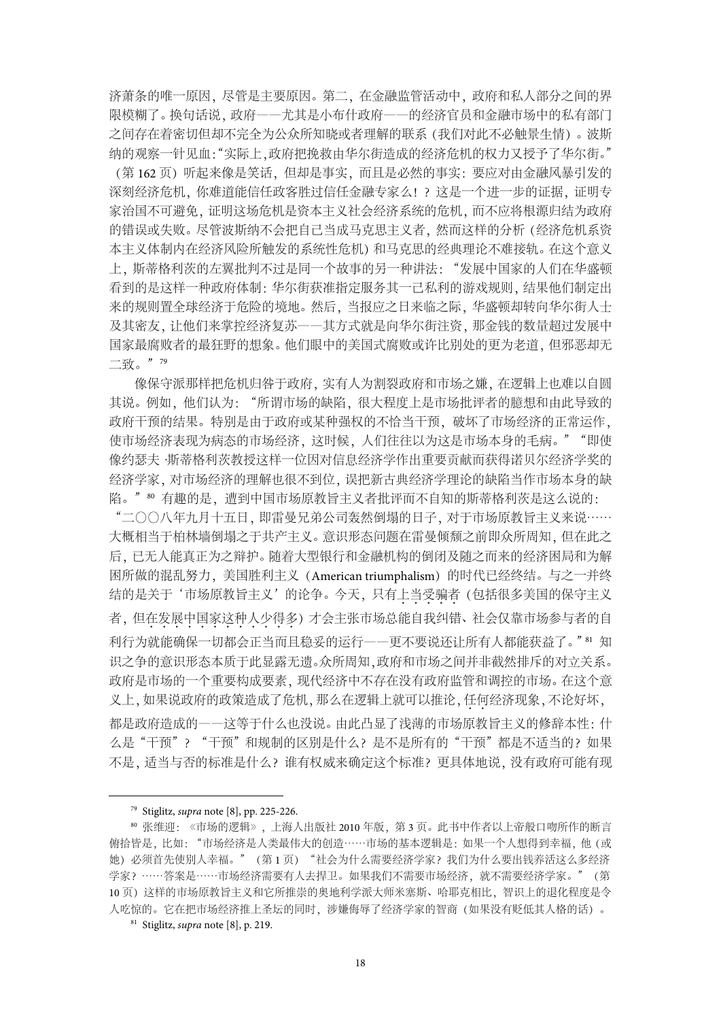济萧条的唯一原因,尽管是主要原因。第二,在金融监管活动中,政府和私人部分之间的界 限模糊了。换句话说,政府——尤其是小布什政府——的经济官员和金融市场中的私有部门 之间存在着密切但却不完全为公众所知晓或者理解的联系(我们对此不必触景生情)。波斯 纳的观察一针见血:"实际上,政府把挽救由华尔街造成的经济危机的权力又授予了华尔街。" (第 162 页)听起来像是笑话,但却是事实,而且是必然的事实:要应对由金融风暴引发的 深刻经济危机,你难道能信任政客胜过信任金融专家么!?这是一个进一步的证据,证明专 家治国不可避免,证明这场危机是资本主义社会经济系统的危机,而不应将根源归结为政府 的错误或失败。尽管波斯纳不会把自己当成马克思主义者,然而这样的分析(经济危机系资 本主义体制内在经济风险所触发的系统性危机)和马克思的经典理论不难接轨。在这个意义 上,斯蒂格利茨的左翼批判不过是同一个故事的另一种讲法:"发展中国家的人们在华盛顿 看到的是这样一种政府体制:华尔街获准指定服务其一己私利的游戏规则,结果他们制定出 来的规则置全球经济于危险的境地。然后,当报应之日来临之际,华盛顿却转向华尔街人士 及其密友,让他们来掌控经济复苏——其方式就是向华尔街注资,那金钱的数量超过发展中 国家最腐败者的最狂野的想象。他们眼中的美国式腐败或许比别处的更为老道,但邪恶却无 二致。"<sup>79</sup>

像保守派那样把危机归咎于政府,实有人为割裂政府和市场之嫌,在逻辑上也难以自圆 其说。例如,他们认为:"所谓市场的缺陷,很大程度上是市场批评者的臆想和由此导致的 政府干预的结果。特别是由于政府或某种强权的不恰当干预,破坏了市场经济的正常运作, 使市场经济表现为病态的市场经济,这时候,人们往往以为这是市场本身的毛病。""即使 像约瑟夫·斯蒂格利茨教授这样一位因对信息经济学作出重要贡献而获得诺贝尔经济学奖的 经济学家,对市场经济的理解也很不到位,误把新古典经济学理论的缺陷当作市场本身的缺 陷。"<sup>80</sup> 有趣的是,遭到中国市场原教旨主义者批评而不自知的斯蒂格利茨是这么说的:

"二〇〇八年九月十五日,即雷曼兄弟公司轰然倒塌的日子,对于市场原教旨主义来说…… 大概相当于柏林墙倒塌之于共产主义。意识形态问题在雷曼倾颓之前即众所周知,但在此之 后,已无人能真正为之辩护。随着大型银行和金融机构的倒闭及随之而来的经济困局和为解 困所做的混乱努力,美国胜利主义(American triumphalism)的时代已经终结。与之一并终 结的是关于'市场原教旨主义'的论争。今天,只有上当受骗者 (包括很多美国的保守主义 者,但在发展中国家这种人少得多)才会主张市场总能自我纠错、社会仅靠市场参与者的自 利行为就能确保一切都会正当而且稳妥的运行——更不要说还让所有人都能获益了。"81 知 识之争的意识形态本质于此显露无遗。众所周知,政府和市场之间并非截然排斥的对立关系。 政府是市场的一个重要构成要素,现代经济中不存在没有政府监管和调控的市场。在这个意 义上,如果说政府的政策造成了危机,那么在逻辑上就可以推论,任何经济现象,不论好坏, 都是政府造成的——这等于什么也没说。由此凸显了浅薄的市场原教旨主义的修辞本性:什 么是"干预"? "干预"和规制的区别是什么?是不是所有的"干预"都是不适当的?如果 不是,适当与否的标准是什么?谁有权威来确定这个标准?更具体地说,没有政府可能有现

 <sup>79</sup> Stiglitz, *supra* note [8], pp. 225-226.

<sup>80</sup> 张维迎:《市场的逻辑》,上海人出版社 2010 年版,第 3 页。此书中作者以上帝般口吻所作的断言 俯拾皆是,比如: "市场经济是人类最伟大的创造……市场的基本逻辑是:如果一个人想得到幸福, 他(或 她)必须首先使别人幸福。"(第 1 页)"社会为什么需要经济学家?我们为什么要出钱养活这么多经济 学家?……答案是……市场经济需要有人去捍卫。如果我们不需要市场经济,就不需要经济学家。"(第 10 页)这样的市场原教旨主义和它所推崇的奥地利学派大师米塞斯、哈耶克相比,智识上的退化程度是令 人吃惊的。它在把市场经济推上圣坛的同时,涉嫌侮辱了经济学家的智商(如果没有贬低其人格的话)。

<sup>81</sup> Stiglitz, *supra* note [8], p. 219.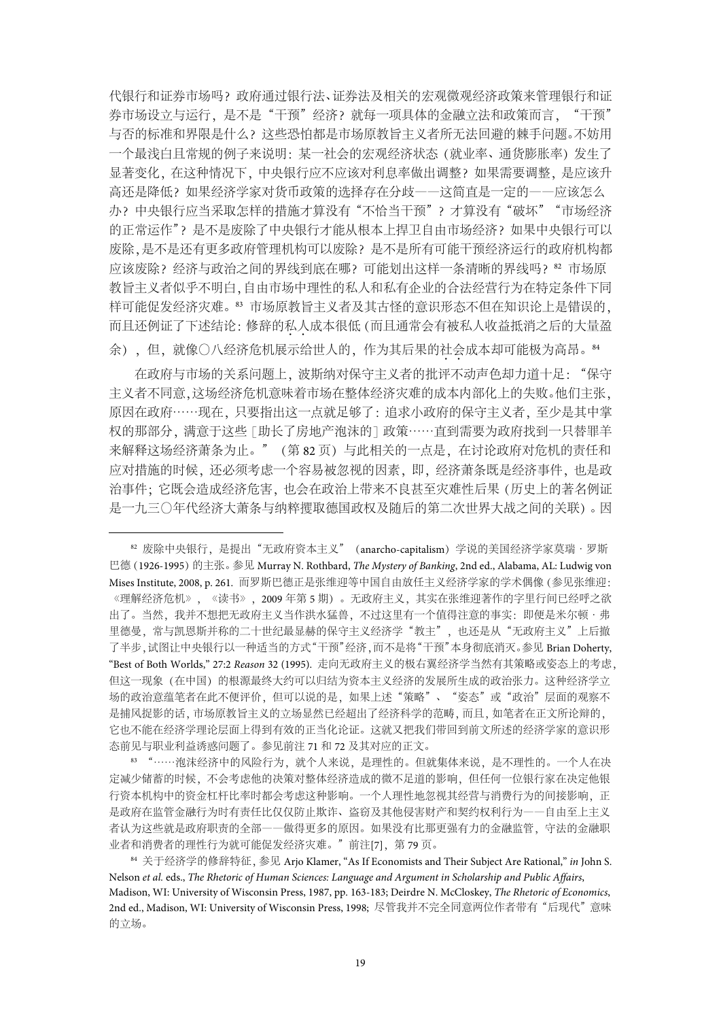代银行和证券市场吗?政府通过银行法、证券法及相关的宏观微观经济政策来管理银行和证 券市场设立与运行,是不是"干预"经济?就每一项具体的金融立法和政策而言,"干预" 与否的标准和界限是什么?这些恐怕都是市场原教旨主义者所无法回避的棘手问题。不妨用 一个最浅白且常规的例子来说明:某一社会的宏观经济状态(就业率、通货膨胀率)发生了 显著变化, 在这种情况下, 中央银行应不应该对利息率做出调整? 如果需要调整, 是应该升 高还是降低?如果经济学家对货币政策的选择存在分歧——这简直是一定的——应该怎么 办?中央银行应当采取怎样的措施才算没有"不恰当干预"?才算没有"破坏""市场经济 的正常运作"?是不是废除了中央银行才能从根本上捍卫自由市场经济?如果中央银行可以 废除,是不是还有更多政府管理机构可以废除?是不是所有可能干预经济运行的政府机构都 应该废除?经济与政治之间的界线到底在哪?可能划出这样一条清晰的界线吗?<sup>82</sup> 市场原 教旨主义者似乎不明白,自由市场中理性的私人和私有企业的合法经营行为在特定条件下同 样可能促发经济灾难。<sup>83</sup> 市场原教旨主义者及其古怪的意识形态不但在知识论上是错误的, 而且还例证了下述结论:修辞的私人成本很低(而且通常会有被私人收益抵消之后的大量盈 余),但,就像〇八经济危机展示给世人的,作为其后果的社会成本却可能极为高昂。84

在政府与市场的关系问题上,波斯纳对保守主义者的批评不动声色却力道十足: "保守 主义者不同意,这场经济危机意味着市场在整体经济灾难的成本内部化上的失败。他们主张, 原因在政府……现在,只要指出这一点就足够了: 追求小政府的保守主义者, 至少是其中掌 权的那部分,满意于这些「助长了房地产泡沫的]政策……直到需要为政府找到一只替罪羊 来解释这场经济萧条为止。"(第 82 页)与此相关的一点是,在讨论政府对危机的责任和 应对措施的时候,还必须考虑一个容易被忽视的因素,即,经济萧条既是经济事件,也是政 治事件;它既会造成经济危害,也会在政治上带来不良甚至灾难性后果(历史上的著名例证 是一九三〇年代经济大萧条与纳粹攫取德国政权及随后的第二次世界大战之间的关联)。因

<sup>83</sup> "……泡沫经济中的风险行为,就个人来说,是理性的。但就集体来说,是不理性的。一个人在决 定减少储蓄的时候,不会考虑他的决策对整体经济造成的微不足道的影响,但任何一位银行家在决定他银 行资本机构中的资金杠杆比率时都会考虑这种影响。一个人理性地忽视其经营与消费行为的间接影响,正 是政府在监管金融行为时有责任比仅仅防止欺诈、盗窃及其他侵害财产和契约权利行为——自由至上主义 者认为这些就是政府职责的全部——做得更多的原因。如果没有比那更强有力的金融监管,守法的金融职 业者和消费者的理性行为就可能促发经济灾难。"前注[7], 第 79 页。

 <sup>82</sup> 废除中央银行,是提出"无政府资本主义"(anarcho-capitalism)学说的美国经济学家莫瑞·罗斯 巴德(1926-1995)的主张。参见 Murray N. Rothbard, *The Mystery of Banking*, 2nd ed., Alabama, AL: Ludwig von Mises Institute, 2008, p. 261. 而罗斯巴德正是张维迎等中国自由放任主义经济学家的学术偶像(参见张维迎: 《理解经济危机》,《读书》,2009 年第 5 期)。无政府主义,其实在张维迎著作的字里行间已经呼之欲 出了。当然,我并不想把无政府主义当作洪水猛兽,不过这里有一个值得注意的事实:即便是米尔顿·弗 里德曼,常与凯恩斯并称的二十世纪最显赫的保守主义经济学"教主",也还是从"无政府主义"上后撤 了半步,试图让中央银行以一种适当的方式"干预"经济,而不是将"干预"本身彻底消灭。参见 Brian Doherty, "Best of Both Worlds," 27:2 *Reason* 32 (1995). 走向无政府主义的极右翼经济学当然有其策略或姿态上的考虑, 但这一现象(在中国)的根源最终大约可以归结为资本主义经济的发展所生成的政治张力。这种经济学立 场的政治意蕴笔者在此不便评价,但可以说的是,如果上述"策略"、"姿态"或"政治"层面的观察不 是捕风捉影的话,市场原教旨主义的立场显然已经超出了经济科学的范畴,而且,如笔者在正文所论辩的, 它也不能在经济学理论层面上得到有效的正当化论证。这就又把我们带回到前文所述的经济学家的意识形 态前见与职业利益诱惑问题了。参见前注 71 和 72 及其对应的正文。

<sup>84</sup> 关于经济学的修辞特征,参见 Arjo Klamer, "As If Economists and Their Subject Are Rational," *in* John S. Nelson *et al.* eds., *The Rhetoric of Human Sciences: Language and Argument in Scholarship and Public Affairs*, Madison, WI: University of Wisconsin Press, 1987, pp. 163-183; Deirdre N. McCloskey, *The Rhetoric of Economics*, 2nd ed., Madison, WI: University of Wisconsin Press, 1998; 尽管我并不完全同意两位作者带有"后现代"意味 的立场。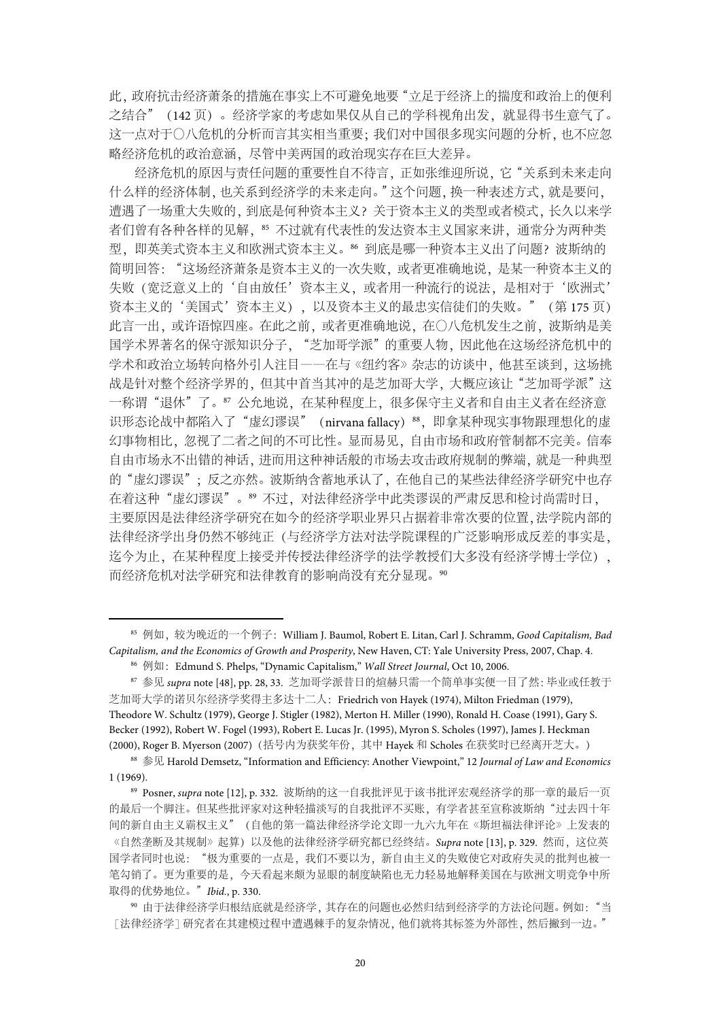此,政府抗击经济萧条的措施在事实上不可避免地要"立足于经济上的揣度和政治上的便利 之结合"(142 页)。经济学家的考虑如果仅从自己的学科视角出发,就显得书生意气了。 这一点对于〇八危机的分析而言其实相当重要;我们对中国很多现实问题的分析,也不应忽 略经济危机的政治意涵,尽管中美两国的政治现实存在巨大差异。

经济危机的原因与责任问题的重要性自不待言,正如张维迎所说,它"关系到未来走向 什么样的经济体制,也关系到经济学的未来走向。"这个问题,换一种表述方式,就是要问, 遭遇了一场重大失败的,到底是何种资本主义?关于资本主义的类型或者模式,长久以来学 者们曾有各种各样的见解, 85 不过就有代表性的发达资本主义国家来讲, 通常分为两种类 型,即英美式资本主义和欧洲式资本主义。<sup>86</sup> 到底是哪一种资本主义出了问题?波斯纳的 简明回答: "这场经济萧条是资本主义的一次失败, 或者更准确地说, 是某一种资本主义的 失败(宽泛意义上的'自由放任'资本主义,或者用一种流行的说法,是相对于'欧洲式' 资本主义的'美国式'资本主义),以及资本主义的最忠实信徒们的失败。"(第 175 页) 此言一出,或许语惊四座。在此之前,或者更准确地说,在〇八危机发生之前,波斯纳是美 国学术界著名的保守派知识分子,"芝加哥学派"的重要人物,因此他在这场经济危机中的 学术和政治立场转向格外引人注目——在与《纽约客》杂志的访谈中,他甚至谈到,这场挑 战是针对整个经济学界的,但其中首当其冲的是芝加哥大学,大概应该让"芝加哥学派"这 一称谓"退休"了。87 公允地说, 在某种程度上, 很多保守主义者和自由主义者在经济意 识形态论战中都陷入了"虚幻谬误" (nirvana fallacy) 88, 即拿某种现实事物跟理想化的虚 幻事物相比,忽视了二者之间的不可比性。显而易见,自由市场和政府管制都不完美。信奉 自由市场永不出错的神话,进而用这种神话般的市场去攻击政府规制的弊端,就是一种典型 的"虚幻谬误";反之亦然。波斯纳含蓄地承认了,在他自己的某些法律经济学研究中也存 在着这种"虚幻谬误"。89 不过,对法律经济学中此类谬误的严肃反思和检讨尚需时日, 主要原因是法律经济学研究在如今的经济学职业界只占据着非常次要的位置,法学院内部的 法律经济学出身仍然不够纯正(与经济学方法对法学院课程的广泛影响形成反差的事实是, 迄今为止,在某种程度上接受并传授法律经济学的法学教授们大多没有经济学博士学位), 而经济危机对法学研究和法律教育的影响尚没有充分显现。<sup>90</sup>

 <sup>85</sup> 例如,较为晚近的一个例子:William J. Baumol, Robert E. Litan, Carl J. Schramm, *Good Capitalism, Bad Capitalism, and the Economics of Growth and Prosperity*, New Haven, CT: Yale University Press, 2007, Chap. 4.

<sup>86</sup> 例如:Edmund S. Phelps, "Dynamic Capitalism," *Wall Street Journal*, Oct 10, 2006.

<sup>87</sup> 参见 *supra* note [48], pp. 28, 33. 芝加哥学派昔日的煊赫只需一个简单事实便一目了然:毕业或任教于 芝加哥大学的诺贝尔经济学奖得主多达十二人:Friedrich von Hayek (1974), Milton Friedman (1979), Theodore W. Schultz (1979), George J. Stigler (1982), Merton H. Miller (1990), Ronald H. Coase (1991), Gary S. Becker (1992), Robert W. Fogel (1993), Robert E. Lucas Jr. (1995), Myron S. Scholes (1997), James J. Heckman (2000), Roger B. Myerson (2007)(括号内为获奖年份,其中 Hayek 和 Scholes 在获奖时已经离开芝大。)

<sup>88</sup> 参见 Harold Demsetz, "Information and Efficiency: Another Viewpoint," 12 *Journal of Law and Economics* 1 (1969).

<sup>89</sup> Posner, *supra* note [12], p. 332. 波斯纳的这一自我批评见于该书批评宏观经济学的那一章的最后一页 的最后一个脚注。但某些批评家对这种轻描淡写的自我批评不买账,有学者甚至宣称波斯纳"过去四十年 间的新自由主义霸权主义"(自他的第一篇法律经济学论文即一九六九年在《斯坦福法律评论》上发表的 《自然垄断及其规制》起算)以及他的法律经济学研究都已经终结。Supra note [13], p. 329. 然而, 这位英 国学者同时也说: "极为重要的一点是,我们不要以为,新自由主义的失败使它对政府失灵的批判也被一 笔勾销了。更为重要的是,今天看起来颇为显眼的制度缺陷也无力轻易地解释美国在与欧洲文明竞争中所 取得的优势地位。"*Ibid.*, p. 330.

<sup>90</sup> 由于法律经济学归根结底就是经济学,其存在的问题也必然归结到经济学的方法论问题。例如:"当 [法律经济学]研究者在其建模过程中遭遇棘手的复杂情况,他们就将其标签为外部性,然后撇到一边。"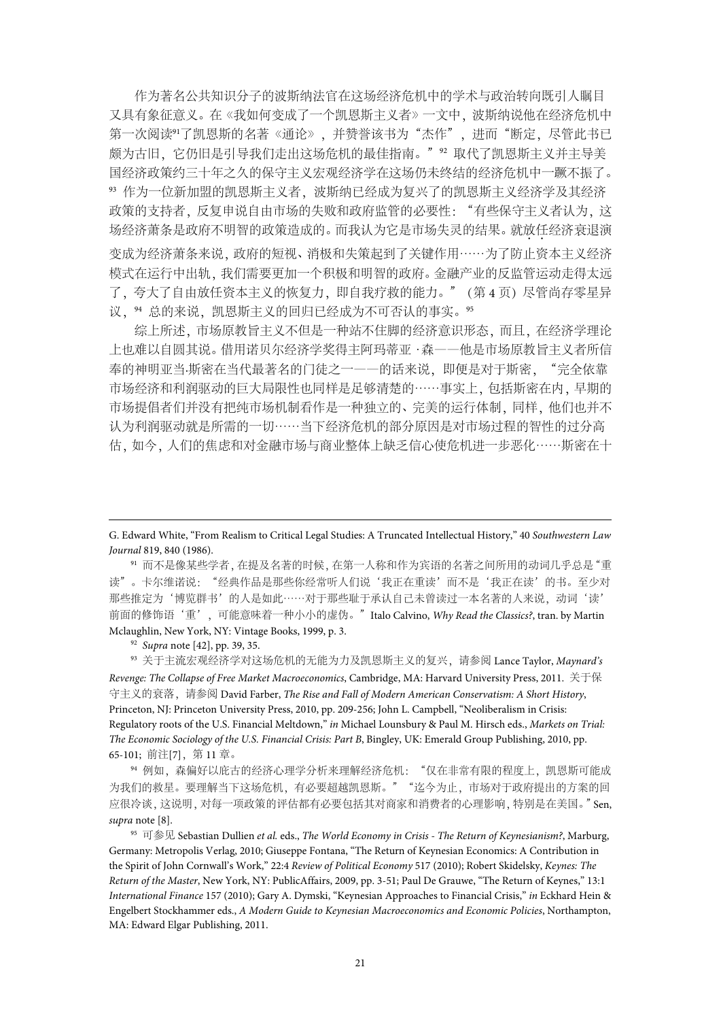作为著名公共知识分子的波斯纳法官在这场经济危机中的学术与政治转向既引人瞩目 又具有象征意义。在《我如何变成了一个凯恩斯主义者》一文中,波斯纳说他在经济危机中 第一次阅读<sup>91</sup>了凯恩斯的名著《通论》,并赞誉该书为"杰作",进而"断定,尽管此书已 颇为古旧,它仍旧是引导我们走出这场危机的最佳指南。"<sup>92</sup> 取代了凯恩斯主义并主导美 国经济政策约三十年之久的保守主义宏观经济学在这场仍未终结的经济危机中一蹶不振了。 <sup>93</sup> 作为一位新加盟的凯恩斯主义者,波斯纳已经成为复兴了的凯恩斯主义经济学及其经济 政策的支持者,反复申说自由市场的失败和政府监管的必要性: "有些保守主义者认为,这 场经济萧条是政府不明智的政策造成的。而我认为它是市场失灵的结果。就放任经济衰退演 变成为经济萧条来说,政府的短视、消极和失策起到了关键作用……为了防止资本主义经济 模式在运行中出轨,我们需要更加一个积极和明智的政府。金融产业的反监管运动走得太远 了, 夸大了自由放任资本主义的恢复力, 即自我疗救的能力。"(第4页)尽管尚存零星异 议, 94 总的来说, 凯恩斯主义的回归已经成为不可否认的事实。95

综上所述,市场原教旨主义不但是一种站不住脚的经济意识形态,而且,在经济学理论 上也难以自圆其说。借用诺贝尔经济学奖得主阿玛蒂亚·森——他是市场原教旨主义者所信 奉的神明亚当·斯密在当代最著名的门徒之一——的话来说, 即便是对于斯密, "完全依靠 市场经济和利润驱动的巨大局限性也同样是足够清楚的……事实上,包括斯密在内,早期的 市场提倡者们并没有把纯市场机制看作是一种独立的、完美的运行体制,同样,他们也并不 认为利润驱动就是所需的一切……当下经济危机的部分原因是对市场过程的智性的过分高 估,如今,人们的焦虑和对金融市场与商业整体上缺乏信心使危机进一步恶化……斯密在十

<sup>92</sup> *Supra* note [42], pp. 39, 35.

<sup>-</sup>

<sup>93</sup> 关于主流宏观经济学对这场危机的无能为力及凯恩斯主义的复兴,请参阅 Lance Taylor, *Maynard's Revenge: The Collapse of Free Market Macroeconomics*, Cambridge, MA: Harvard University Press, 2011. 关于保 守主义的衰落,请参阅 David Farber, *The Rise and Fall of Modern American Conservatism: A Short History*, Princeton, NJ: Princeton University Press, 2010, pp. 209-256; John L. Campbell, "Neoliberalism in Crisis: Regulatory roots of the U.S. Financial Meltdown," *in* Michael Lounsbury & Paul M. Hirsch eds., *Markets on Trial: The Economic Sociology of the U.S. Financial Crisis: Part B*, Bingley, UK: Emerald Group Publishing, 2010, pp. 65-101; 前注[7],第 11 章。

94 例如,森偏好以庇古的经济心理学分析来理解经济危机: "仅在非常有限的程度上,凯恩斯可能成 为我们的救星。要理解当下这场危机,有必要超越凯恩斯。""迄今为止,市场对于政府提出的方案的回 应很冷谈,这说明,对每一项政策的评估都有必要包括其对商家和消费者的心理影响,特别是在美国。"Sen, *supra* note [8].

<sup>95</sup> 可参见 Sebastian Dullien *et al.* eds., *The World Economy in Crisis - The Return of Keynesianism?*, Marburg, Germany: Metropolis Verlag, 2010; Giuseppe Fontana, "The Return of Keynesian Economics: A Contribution in the Spirit of John Cornwall's Work," 22:4 *Review of Political Economy* 517 (2010); Robert Skidelsky, *Keynes: The Return of the Master*, New York, NY: PublicAffairs, 2009, pp. 3-51; Paul De Grauwe, "The Return of Keynes," 13:1 *International Finance* 157 (2010); Gary A. Dymski, "Keynesian Approaches to Financial Crisis," *in* Eckhard Hein & Engelbert Stockhammer eds., *A Modern Guide to Keynesian Macroeconomics and Economic Policies*, Northampton, MA: Edward Elgar Publishing, 2011.

G. Edward White, "From Realism to Critical Legal Studies: A Truncated Intellectual History," 40 *Southwestern Law Journal* 819, 840 (1986).

<sup>91</sup> 而不是像某些学者,在提及名著的时候,在第一人称和作为宾语的名著之间所用的动词几乎总是"重 读"。卡尔维诺说:"经典作品是那些你经常听人们说'我正在重读'而不是'我正在读'的书。至少对 那些推定为'博览群书'的人是如此……对于那些耻于承认自己未曾读过一本名著的人来说,动词'读' 前面的修饰语'重',可能意味着一种小小的虚伪。"Italo Calvino, *Why Read the Classics?*, tran. by Martin Mclaughlin, New York, NY: Vintage Books, 1999, p. 3.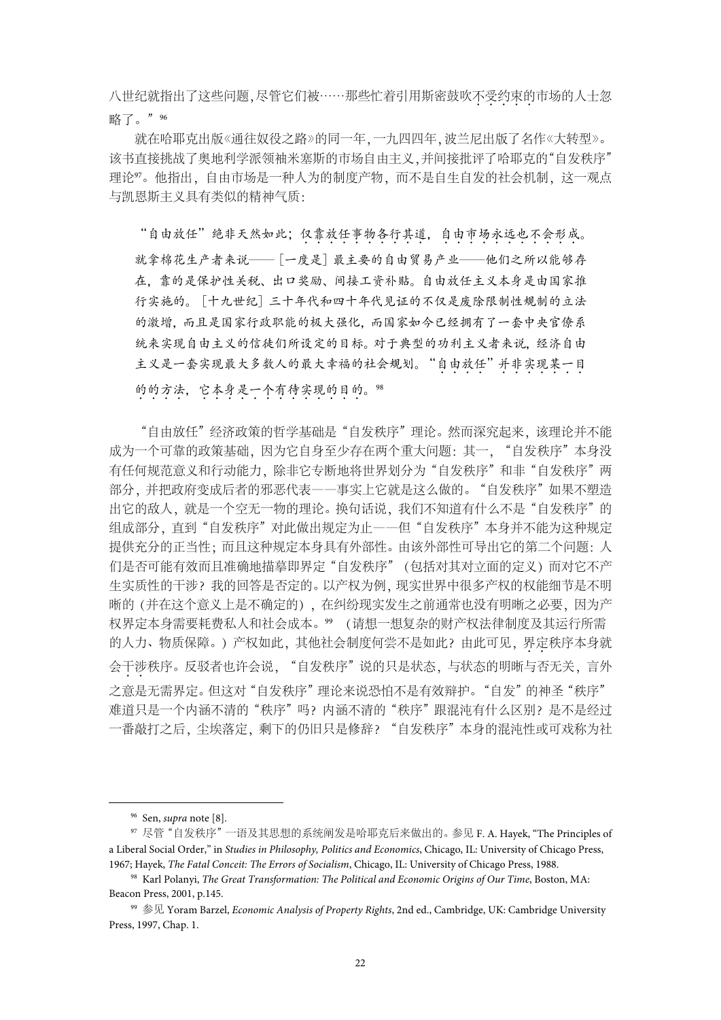八世纪就指出了这些问题,尽管它们被……那些忙着引用斯密鼓吹不受约束的市场的人士忽 略了。"96

就在哈耶克出版《通往奴役之路》的同一年,一九四四年,波兰尼出版了名作《大转型》。 该书直接挑战了奥地利学派领袖米塞斯的市场自由主义,并间接批评了哈耶克的"自发秩序" 理论97。他指出,自由市场是一种人为的制度产物,而不是自生自发的社会机制,这一观点 与凯恩斯主义具有类似的精神气质:

"自由放任"绝非天然如此;仅靠放任事物各行其道,自由市场永远也不会形成。 就拿棉花生产者来说——[一度是]最主要的自由贸易产业——他们之所以能够存 在,靠的是保护性关税、出口奖励、间接工资补贴。自由放任主义本身是由国家推 行实施的。[十九世纪]三十年代和四十年代见证的不仅是废除限制性规制的立法 的激增,而且是国家行政职能的极大强化,而国家如今已经拥有了一套中央官僚系 统来实现自由主义的信徒们所设定的目标。对于典型的功利主义者来说,经济自由 主义是一套实现最大多数人的最大幸福的社会规划。"自由放任"并非实现某一目 的的方法,它本身是一个有待实现的目的。98

"自由放任"经济政策的哲学基础是"自发秩序"理论。然而深究起来,该理论并不能 成为一个可靠的政策基础,因为它自身至少存在两个重大问题:其一, "自发秩序"本身没 有任何规范意义和行动能力,除非它专断地将世界划分为"自发秩序"和非"自发秩序"两 部分,并把政府变成后者的邪恶代表——事实上它就是这么做的。"自发秩序"如果不塑造 出它的敌人, 就是一个空无一物的理论。换句话说, 我们不知道有什么不是"自发秩序"的 组成部分,直到"自发秩序"对此做出规定为止一一但"自发秩序"本身并不能为这种规定 提供充分的正当性;而且这种规定本身具有外部性。由该外部性可导出它的第二个问题:人 们是否可能有效而且准确地描摹即界定"自发秩序"(包括对其对立面的定义)而对它不产 生实质性的干涉?我的回答是否定的。以产权为例,现实世界中很多产权的权能细节是不明 晰的(并在这个意义上是不确定的),在纠纷现实发生之前通常也没有明晰之必要,因为产 权界定本身需要耗费私人和社会成本。<sup>99</sup> (请想一想复杂的财产权法律制度及其运行所需 的人力、物质保障。)产权如此,其他社会制度何尝不是如此?由此可见,界定秩序本身就 会干涉秩序。反驳者也许会说, "自发秩序"说的只是状态, 与状态的明晰与否无关, 言外 之意是无需界定。但这对"自发秩序"理论来说恐怕不是有效辩护。"自发"的神圣"秩序" 难道只是一个内涵不清的"秩序"吗?内涵不清的"秩序"跟混沌有什么区别?是不是经过 一番敲打之后,尘埃落定,剩下的仍旧只是修辞?"自发秩序"本身的混沌性或可戏称为社

 <sup>96</sup> Sen, *supra* note [8].

<sup>97</sup> 尽管"自发秩序"一语及其思想的系统阐发是哈耶克后来做出的。参见 F. A. Hayek, "The Principles of a Liberal Social Order," in *Studies in Philosophy, Politics and Economics*, Chicago, IL: University of Chicago Press, 1967; Hayek, *The Fatal Conceit: The Errors of Socialism*, Chicago, IL: University of Chicago Press, 1988.

<sup>98</sup> Karl Polanyi, *The Great Transformation: The Political and Economic Origins of Our Time*, Boston, MA: Beacon Press, 2001, p.145.

<sup>99</sup> 参见 Yoram Barzel, *Economic Analysis of Property Rights*, 2nd ed., Cambridge, UK: Cambridge University Press, 1997, Chap. 1.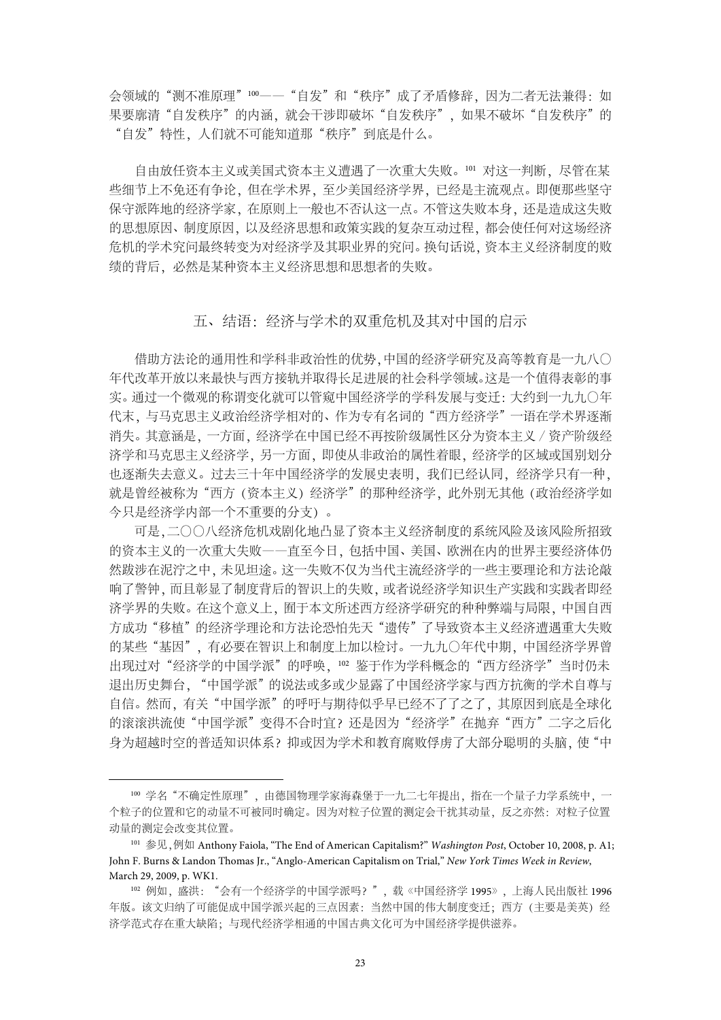会领域的"测不准原理"100 -- "自发"和"秩序"成了矛盾修辞,因为二者无法兼得:如 果要廓清"自发秩序"的内涵, 就会干涉即破坏"自发秩序", 如果不破坏"自发秩序"的 "自发"特性,人们就不可能知道那"秩序"到底是什么。

自由放任资本主义或美国式资本主义遭遇了一次重大失败。101 对这一判断,尽管在某 些细节上不免还有争论,但在学术界,至少美国经济学界,已经是主流观点。即便那些坚守 保守派阵地的经济学家,在原则上一般也不否认这一点。不管这失败本身,还是造成这失败 的思想原因、制度原因,以及经济思想和政策实践的复杂互动过程,都会使任何对这场经济 危机的学术究问最终转变为对经济学及其职业界的究问。换句话说,资本主义经济制度的败 绩的背后,必然是某种资本主义经济思想和思想者的失败。

#### 五、结语:经济与学术的双重危机及其对中国的启示

借助方法论的通用性和学科非政治性的优势,中国的经济学研究及高等教育是一九八〇 年代改革开放以来最快与西方接轨并取得长足进展的社会科学领域。这是一个值得表彰的事 实。通过一个微观的称谓变化就可以管窥中国经济学的学科发展与变迁:大约到一九九〇年 代末,与马克思主义政治经济学相对的、作为专有名词的"西方经济学"一语在学术界逐渐 消失。其意涵是,一方面,经济学在中国已经不再按阶级属性区分为资本主义∕资产阶级经 济学和马克思主义经济学,另一方面,即使从非政治的属性着眼,经济学的区域或国别划分 也逐渐失去意义。过去三十年中国经济学的发展史表明,我们已经认同,经济学只有一种, 就是曾经被称为"西方(资本主义)经济学"的那种经济学,此外别无其他(政治经济学如 今只是经济学内部一个不重要的分支)。

可是,二〇〇八经济危机戏剧化地凸显了资本主义经济制度的系统风险及该风险所招致 的资本主义的一次重大失败——直至今日,包括中国、美国、欧洲在内的世界主要经济体仍 然跋涉在泥泞之中,未见坦途。这一失败不仅为当代主流经济学的一些主要理论和方法论敲 响了警钟,而且彰显了制度背后的智识上的失败,或者说经济学知识生产实践和实践者即经 济学界的失败。在这个意义上,囿于本文所述西方经济学研究的种种弊端与局限,中国自西 方成功"移植"的经济学理论和方法论恐怕先天"遗传"了导致资本主义经济遭遇重大失败 的某些"基因",有必要在智识上和制度上加以检讨。一九九〇年代中期,中国经济学界曾 出现过对"经济学的中国学派"的呼唤, 102 鉴于作为学科概念的"西方经济学"当时仍未 退出历史舞台,"中国学派"的说法或多或少显露了中国经济学家与西方抗衡的学术自尊与 自信。然而,有关"中国学派"的呼吁与期待似乎早已经不了了之了,其原因到底是全球化 的滚滚洪流使"中国学派"变得不合时宜?还是因为"经济学"在抛弃"西方"二字之后化 身为超越时空的普适知识体系?抑或因为学术和教育腐败俘虏了大部分聪明的头脑, 使"中

<sup>100</sup> 学名"不确定性原理",由德国物理学家海森堡于一九二七年提出,指在一个量子力学系统中,一 个粒子的位置和它的动量不可被同时确定。因为对粒子位置的测定会干扰其动量,反之亦然:对粒子位置 动量的测定会改变其位置。

<sup>101</sup> 参见,例如 Anthony Faiola, "The End of American Capitalism?" *Washington Post*, October 10, 2008, p. A1; John F. Burns & Landon Thomas Jr., "Anglo-American Capitalism on Trial," *New York Times Week in Review*, March 29, 2009, p. WK1.

<sup>102</sup> 例如, 盛洪: "会有一个经济学的中国学派吗?",载《中国经济学 1995》, 上海人民出版社 1996 年版。该文归纳了可能促成中国学派兴起的三点因素: 当然中国的伟大制度变迁; 西方 (主要是美英) 经 济学范式存在重大缺陷;与现代经济学相通的中国古典文化可为中国经济学提供滋养。